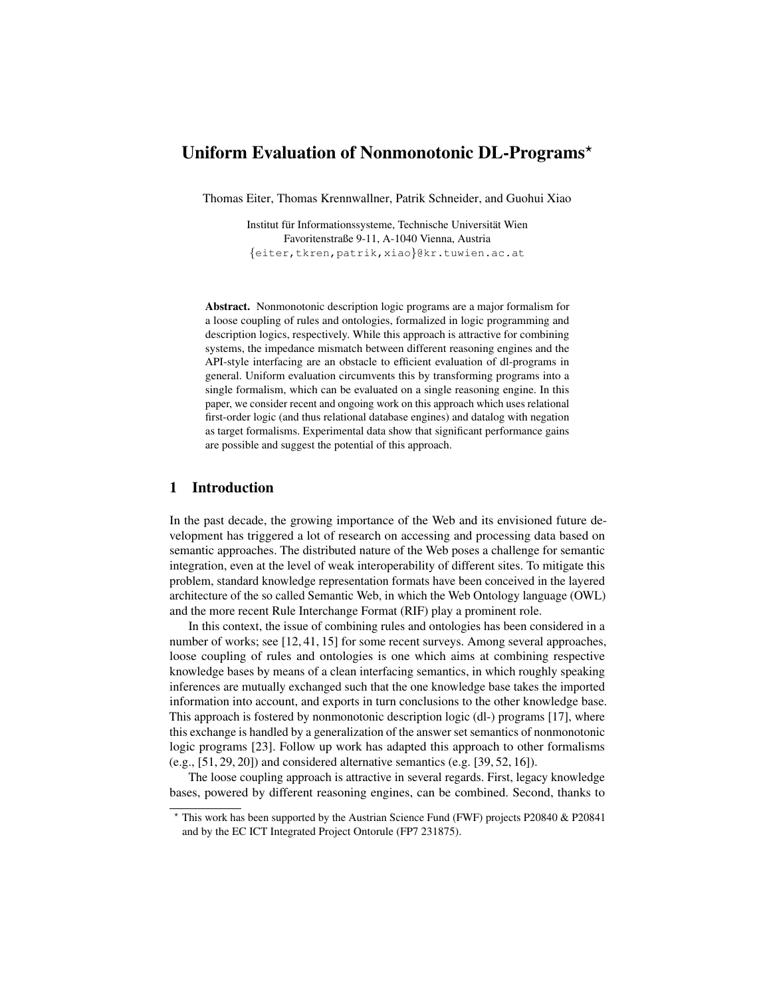# Uniform Evaluation of Nonmonotonic DL-Programs\*

Thomas Eiter, Thomas Krennwallner, Patrik Schneider, and Guohui Xiao

Institut für Informationssysteme, Technische Universität Wien Favoritenstraße 9-11, A-1040 Vienna, Austria {eiter,tkren,patrik,xiao}@kr.tuwien.ac.at

Abstract. Nonmonotonic description logic programs are a major formalism for a loose coupling of rules and ontologies, formalized in logic programming and description logics, respectively. While this approach is attractive for combining systems, the impedance mismatch between different reasoning engines and the API-style interfacing are an obstacle to efficient evaluation of dl-programs in general. Uniform evaluation circumvents this by transforming programs into a single formalism, which can be evaluated on a single reasoning engine. In this paper, we consider recent and ongoing work on this approach which uses relational first-order logic (and thus relational database engines) and datalog with negation as target formalisms. Experimental data show that significant performance gains are possible and suggest the potential of this approach.

## 1 Introduction

In the past decade, the growing importance of the Web and its envisioned future development has triggered a lot of research on accessing and processing data based on semantic approaches. The distributed nature of the Web poses a challenge for semantic integration, even at the level of weak interoperability of different sites. To mitigate this problem, standard knowledge representation formats have been conceived in the layered architecture of the so called Semantic Web, in which the Web Ontology language (OWL) and the more recent Rule Interchange Format (RIF) play a prominent role.

In this context, the issue of combining rules and ontologies has been considered in a number of works; see [12, 41, 15] for some recent surveys. Among several approaches, loose coupling of rules and ontologies is one which aims at combining respective knowledge bases by means of a clean interfacing semantics, in which roughly speaking inferences are mutually exchanged such that the one knowledge base takes the imported information into account, and exports in turn conclusions to the other knowledge base. This approach is fostered by nonmonotonic description logic (dl-) programs [17], where this exchange is handled by a generalization of the answer set semantics of nonmonotonic logic programs [23]. Follow up work has adapted this approach to other formalisms (e.g., [51, 29, 20]) and considered alternative semantics (e.g. [39, 52, 16]).

The loose coupling approach is attractive in several regards. First, legacy knowledge bases, powered by different reasoning engines, can be combined. Second, thanks to

<sup>?</sup> This work has been supported by the Austrian Science Fund (FWF) projects P20840 & P20841 and by the EC ICT Integrated Project Ontorule (FP7 231875).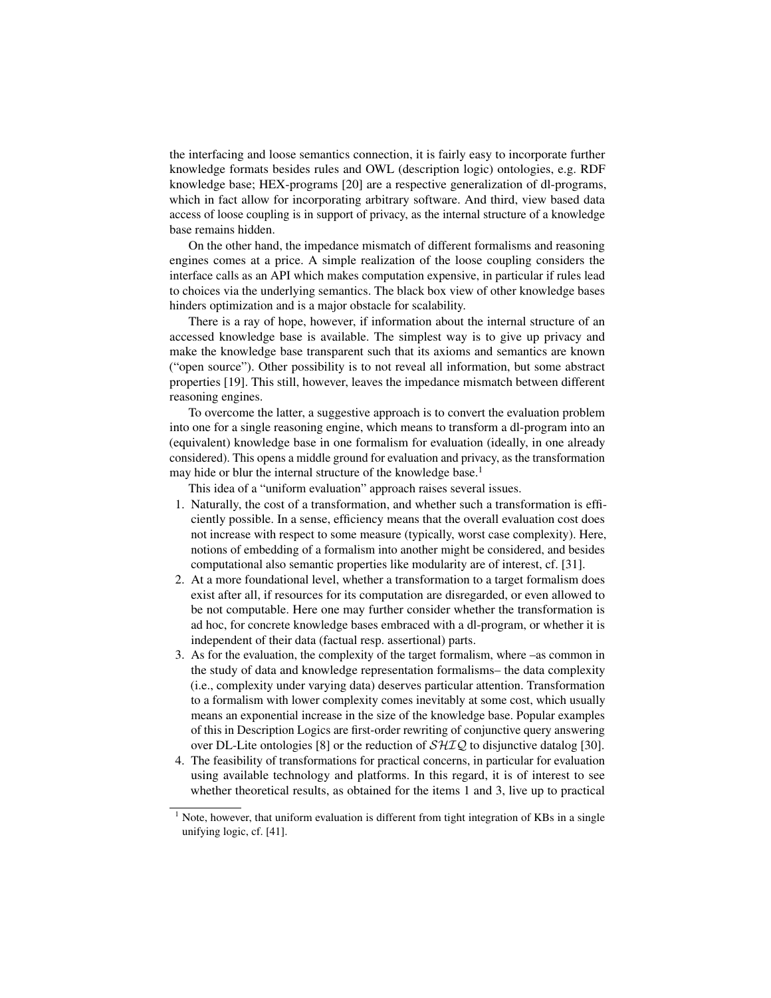the interfacing and loose semantics connection, it is fairly easy to incorporate further knowledge formats besides rules and OWL (description logic) ontologies, e.g. RDF knowledge base; HEX-programs [20] are a respective generalization of dl-programs, which in fact allow for incorporating arbitrary software. And third, view based data access of loose coupling is in support of privacy, as the internal structure of a knowledge base remains hidden.

On the other hand, the impedance mismatch of different formalisms and reasoning engines comes at a price. A simple realization of the loose coupling considers the interface calls as an API which makes computation expensive, in particular if rules lead to choices via the underlying semantics. The black box view of other knowledge bases hinders optimization and is a major obstacle for scalability.

There is a ray of hope, however, if information about the internal structure of an accessed knowledge base is available. The simplest way is to give up privacy and make the knowledge base transparent such that its axioms and semantics are known ("open source"). Other possibility is to not reveal all information, but some abstract properties [19]. This still, however, leaves the impedance mismatch between different reasoning engines.

To overcome the latter, a suggestive approach is to convert the evaluation problem into one for a single reasoning engine, which means to transform a dl-program into an (equivalent) knowledge base in one formalism for evaluation (ideally, in one already considered). This opens a middle ground for evaluation and privacy, as the transformation may hide or blur the internal structure of the knowledge base.<sup>1</sup>

This idea of a "uniform evaluation" approach raises several issues.

- 1. Naturally, the cost of a transformation, and whether such a transformation is efficiently possible. In a sense, efficiency means that the overall evaluation cost does not increase with respect to some measure (typically, worst case complexity). Here, notions of embedding of a formalism into another might be considered, and besides computational also semantic properties like modularity are of interest, cf. [31].
- 2. At a more foundational level, whether a transformation to a target formalism does exist after all, if resources for its computation are disregarded, or even allowed to be not computable. Here one may further consider whether the transformation is ad hoc, for concrete knowledge bases embraced with a dl-program, or whether it is independent of their data (factual resp. assertional) parts.
- 3. As for the evaluation, the complexity of the target formalism, where –as common in the study of data and knowledge representation formalisms– the data complexity (i.e., complexity under varying data) deserves particular attention. Transformation to a formalism with lower complexity comes inevitably at some cost, which usually means an exponential increase in the size of the knowledge base. Popular examples of this in Description Logics are first-order rewriting of conjunctive query answering over DL-Lite ontologies [8] or the reduction of  $\mathcal{SHIQ}$  to disjunctive datalog [30].
- 4. The feasibility of transformations for practical concerns, in particular for evaluation using available technology and platforms. In this regard, it is of interest to see whether theoretical results, as obtained for the items 1 and 3, live up to practical

<sup>&</sup>lt;sup>1</sup> Note, however, that uniform evaluation is different from tight integration of KBs in a single unifying logic, cf. [41].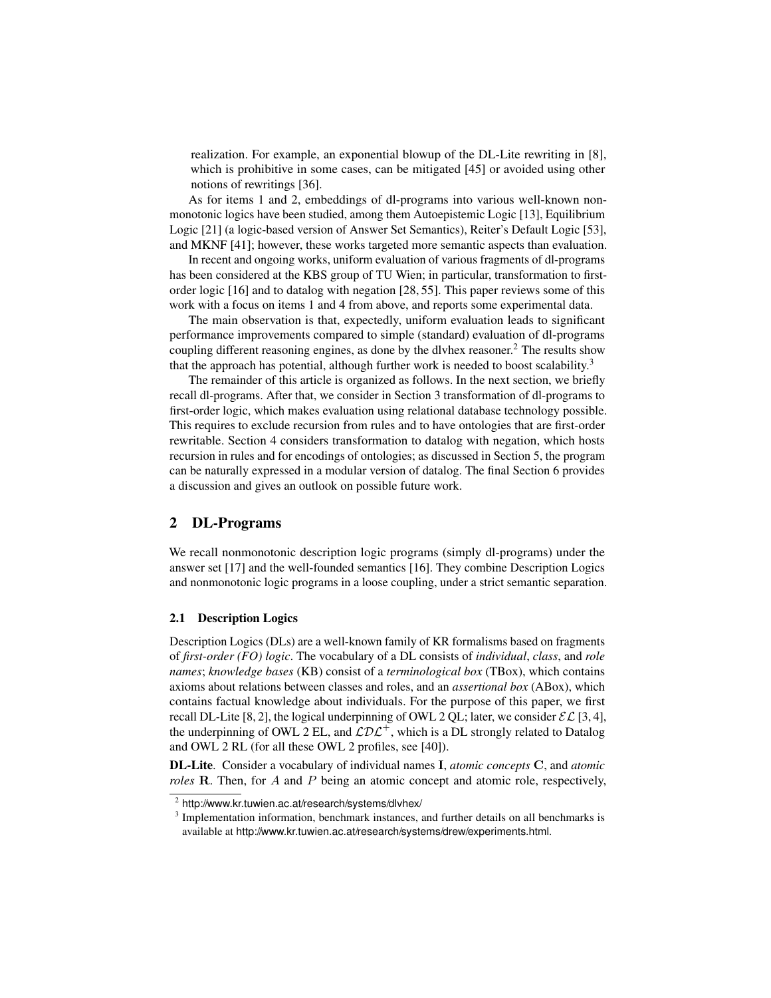realization. For example, an exponential blowup of the DL-Lite rewriting in [8], which is prohibitive in some cases, can be mitigated [45] or avoided using other notions of rewritings [36].

As for items 1 and 2, embeddings of dl-programs into various well-known nonmonotonic logics have been studied, among them Autoepistemic Logic [13], Equilibrium Logic [21] (a logic-based version of Answer Set Semantics), Reiter's Default Logic [53], and MKNF [41]; however, these works targeted more semantic aspects than evaluation.

In recent and ongoing works, uniform evaluation of various fragments of dl-programs has been considered at the KBS group of TU Wien; in particular, transformation to firstorder logic [16] and to datalog with negation [28, 55]. This paper reviews some of this work with a focus on items 1 and 4 from above, and reports some experimental data.

The main observation is that, expectedly, uniform evaluation leads to significant performance improvements compared to simple (standard) evaluation of dl-programs coupling different reasoning engines, as done by the dlyhex reasoner.<sup>2</sup> The results show that the approach has potential, although further work is needed to boost scalability.<sup>3</sup>

The remainder of this article is organized as follows. In the next section, we briefly recall dl-programs. After that, we consider in Section 3 transformation of dl-programs to first-order logic, which makes evaluation using relational database technology possible. This requires to exclude recursion from rules and to have ontologies that are first-order rewritable. Section 4 considers transformation to datalog with negation, which hosts recursion in rules and for encodings of ontologies; as discussed in Section 5, the program can be naturally expressed in a modular version of datalog. The final Section 6 provides a discussion and gives an outlook on possible future work.

## 2 DL-Programs

We recall nonmonotonic description logic programs (simply dl-programs) under the answer set [17] and the well-founded semantics [16]. They combine Description Logics and nonmonotonic logic programs in a loose coupling, under a strict semantic separation.

### 2.1 Description Logics

Description Logics (DLs) are a well-known family of KR formalisms based on fragments of *first-order (FO) logic*. The vocabulary of a DL consists of *individual*, *class*, and *role names*; *knowledge bases* (KB) consist of a *terminological box* (TBox), which contains axioms about relations between classes and roles, and an *assertional box* (ABox), which contains factual knowledge about individuals. For the purpose of this paper, we first recall DL-Lite [8, 2], the logical underpinning of OWL 2 QL; later, we consider  $\mathcal{EL}$  [3, 4], the underpinning of OWL 2 EL, and  $\mathcal{L}D\mathcal{L}^+$ , which is a DL strongly related to Datalog and OWL 2 RL (for all these OWL 2 profiles, see [40]).

DL-Lite. Consider a vocabulary of individual names I, *atomic concepts* C, and *atomic roles* R. Then, for A and P being an atomic concept and atomic role, respectively,

 $2$  http://www.kr.tuwien.ac.at/research/systems/dlvhex/

<sup>&</sup>lt;sup>3</sup> Implementation information, benchmark instances, and further details on all benchmarks is available at http://www.kr.tuwien.ac.at/research/systems/drew/experiments.html.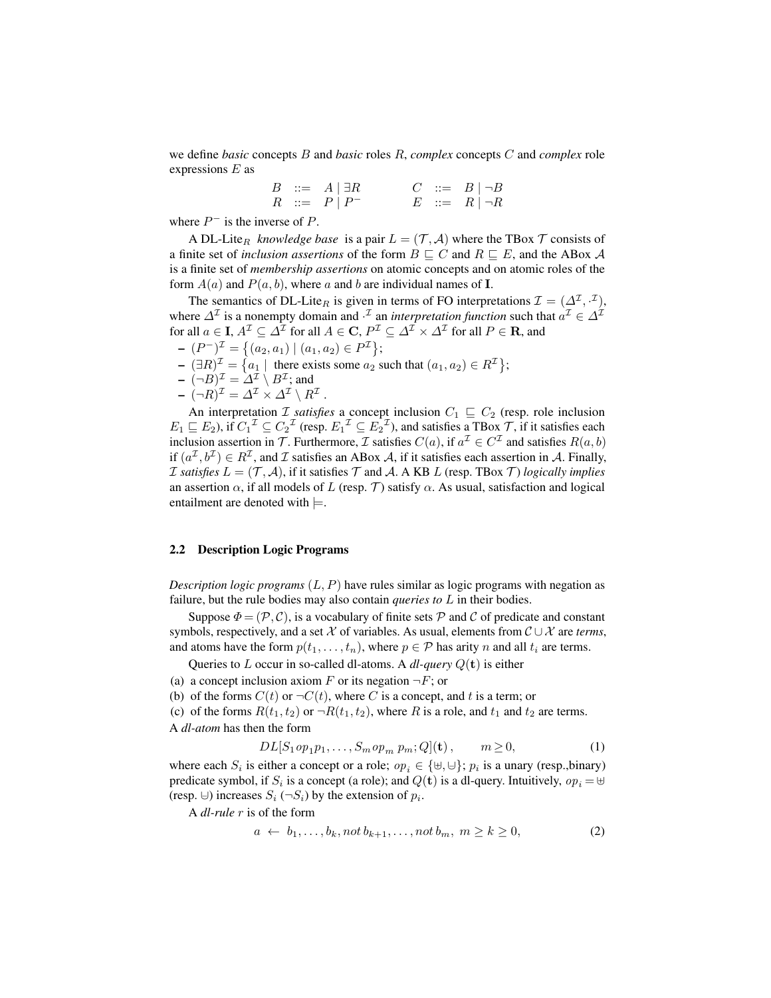we define *basic* concepts B and *basic* roles R, *complex* concepts C and *complex* role expressions  $E$  as

> $B$  ::=  $A \mid \exists R$   $C$  ::=  $B \mid \neg B$  $R \ ::= P | P^ E \ ::= R | \neg R$

where  $P^-$  is the inverse of P.

A DL-Lite<sub>R</sub> knowledge base is a pair  $L = (\mathcal{T}, \mathcal{A})$  where the TBox  $\mathcal{T}$  consists of a finite set of *inclusion assertions* of the form  $B \sqsubseteq C$  and  $R \sqsubseteq E$ , and the ABox A is a finite set of *membership assertions* on atomic concepts and on atomic roles of the form  $A(a)$  and  $P(a, b)$ , where a and b are individual names of **I**.

The semantics of DL-Lite<sub>R</sub> is given in terms of FO interpretations  $\mathcal{I} = (\Delta^{\mathcal{I}}, \cdot^{\mathcal{I}})$ , where  $\Delta^{\mathcal{I}}$  is a nonempty domain and  $\cdot^{\mathcal{I}}$  an *interpretation function* such that  $a^{\mathcal{I}} \in \Delta^{\mathcal{I}}$ for all  $a\in \mathbf{I},$   $A^\mathcal{I}\subseteq \mathcal{A}^\mathcal{I}$  for all  $A\in \mathbf{C},$   $P^\mathcal{I}\subseteq \mathcal{A}^\mathcal{I}\times \mathcal{A}^\mathcal{I}$  for all  $P\in \mathbf{R},$  and

- $-(P^{-})^{\mathcal{I}} = \{(a_2, a_1) | (a_1, a_2) \in P^{\mathcal{I}}\};$
- $(\exists R)^{\mathcal{I}} = \{a_1 \mid \text{ there exists some } a_2 \text{ such that } (a_1, a_2) \in R^{\mathcal{I}}\};$
- $-(-B)^{\mathcal{I}} = \Delta^{\mathcal{I}} \setminus B^{\mathcal{I}}$ ; and  $(\neg R)^{\mathcal{I}} = \varDelta^{\mathcal{I}} \times \varDelta^{\mathcal{I}} \setminus R^{\mathcal{I}}$  .

An interpretation *I satisfies* a concept inclusion  $C_1 \sqsubseteq C_2$  (resp. role inclusion  $E_1 \sqsubseteq E_2$ ), if  $C_1^{\mathcal{I}} \subseteq C_2^{\mathcal{I}}$  (resp.  $E_1^{\mathcal{I}} \subseteq E_2^{\mathcal{I}}$ ), and satisfies a TBox  $\mathcal{T}$ , if it satisfies each inclusion assertion in T. Furthermore, I satisfies  $C(a)$ , if  $a^{\mathcal{I}} \in C^{\mathcal{I}}$  and satisfies  $R(a, b)$ if  $(a^{\mathcal{I}}, b^{\mathcal{I}}) \in R^{\mathcal{I}}$ , and  $\mathcal{I}$  satisfies an ABox  $\mathcal{A}$ , if it satisfies each assertion in  $\mathcal{A}$ . Finally, *I* satisfies  $L = (\mathcal{T}, \mathcal{A})$ , if it satisfies  $\mathcal{T}$  and  $\mathcal{A}$ . A KB  $L$  (resp. TBox  $\mathcal{T}$ ) *logically implies* an assertion  $\alpha$ , if all models of L (resp. T) satisfy  $\alpha$ . As usual, satisfaction and logical entailment are denoted with  $\models$ .

### 2.2 Description Logic Programs

*Description logic programs*  $(L, P)$  have rules similar as logic programs with negation as failure, but the rule bodies may also contain *queries to* L in their bodies.

Suppose  $\Phi = (\mathcal{P}, \mathcal{C})$ , is a vocabulary of finite sets  $\mathcal P$  and  $\mathcal C$  of predicate and constant symbols, respectively, and a set X of variables. As usual, elements from  $\mathcal{C} \cup \mathcal{X}$  are *terms*, and atoms have the form  $p(t_1, \ldots, t_n)$ , where  $p \in \mathcal{P}$  has arity n and all  $t_i$  are terms.

Queries to L occur in so-called dl-atoms. A *dl-query* Q(t) is either

- (a) a concept inclusion axiom F or its negation  $\neg F$ ; or
- (b) of the forms  $C(t)$  or  $\neg C(t)$ , where C is a concept, and t is a term; or

(c) of the forms  $R(t_1, t_2)$  or  $\neg R(t_1, t_2)$ , where R is a role, and  $t_1$  and  $t_2$  are terms. A *dl-atom* has then the form

$$
DL[S_1 op_1p_1,\ldots,S_m op_m p_m;Q](\mathbf{t}), \qquad m \ge 0,
$$
\n(1)

where each  $S_i$  is either a concept or a role;  $op_i \in {\uplus, \biguplus; p_i}$  is a unary (resp.,binary) predicate symbol, if  $S_i$  is a concept (a role); and  $Q(\mathbf{t})$  is a dl-query. Intuitively,  $op_i = \uplus$ (resp.  $\cup$ ) increases  $S_i$  (¬ $S_i$ ) by the extension of  $p_i$ .

A *dl-rule* r is of the form

$$
a \leftarrow b_1, \dots, b_k, not \, b_{k+1}, \dots, not \, b_m, \, m \ge k \ge 0,\tag{2}
$$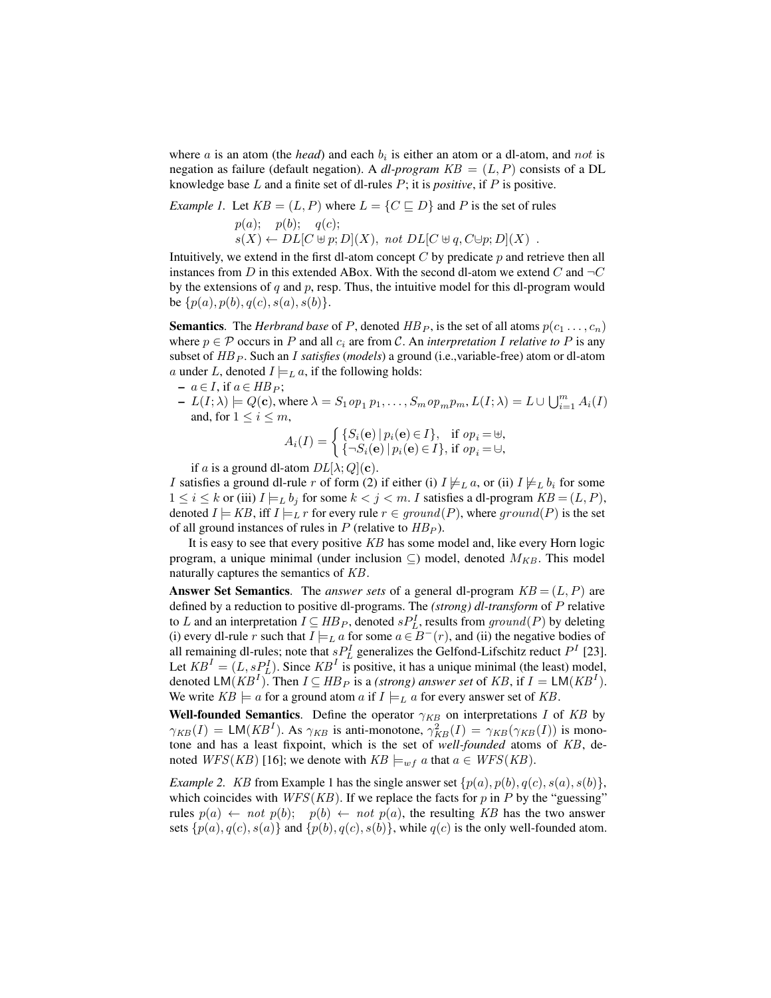where  $a$  is an atom (the *head*) and each  $b_i$  is either an atom or a dl-atom, and not is negation as failure (default negation). A *dl-program*  $KB = (L, P)$  consists of a DL knowledge base L and a finite set of dl-rules P; it is *positive*, if P is positive.

*Example 1.* Let  $KB = (L, P)$  where  $L = \{C \sqsubseteq D\}$  and P is the set of rules  $p(a); \quad p(b); \quad q(c);$  $s(X) \leftarrow DL[C \uplus p; D](X), \text{ not } DL[C \uplus q, C \uplus p; D](X)$ .

Intuitively, we extend in the first dl-atom concept  $C$  by predicate  $p$  and retrieve then all instances from D in this extended ABox. With the second dl-atom we extend C and  $\neg C$ by the extensions of  $q$  and  $p$ , resp. Thus, the intuitive model for this dl-program would be  $\{p(a), p(b), q(c), s(a), s(b)\}.$ 

**Semantics**. The *Herbrand base* of P, denoted  $HB_P$ , is the set of all atoms  $p(c_1 \ldots, c_n)$ where  $p \in \mathcal{P}$  occurs in P and all  $c_i$  are from C. An *interpretation* I *relative to* P is any subset of  $HB_P$ . Such an *I satisfies (models)* a ground (i.e., variable-free) atom or dl-atom a under L, denoted  $I \models_L a$ , if the following holds:

 $- a \in I$ , if  $a \in HB$   $P$ ;

 $-I(L; \lambda) \models Q(\mathbf{c})$ , where  $\lambda = S_1 op_1 p_1, \ldots, S_m op_m p_m, L(I; \lambda) = L \cup \bigcup_{i=1}^m A_i(I)$ and, for  $1 \leq i \leq m$ ,

$$
A_i(I) = \begin{cases} \{S_i(\mathbf{e}) \mid p_i(\mathbf{e}) \in I\}, & \text{if } op_i = \mathbb{H}, \\ \{\neg S_i(\mathbf{e}) \mid p_i(\mathbf{e}) \in I\}, & \text{if } op_i = \mathbb{H}, \end{cases}
$$

if a is a ground dl-atom  $DL[\lambda; Q](\mathbf{c})$ .

I satisfies a ground dl-rule r of form (2) if either (i)  $I \not\models_L a$ , or (ii)  $I \not\models_L b_i$  for some  $1 \le i \le k$  or (iii)  $I \models_L b_j$  for some  $k < j < m$ . I satisfies a dl-program  $KB = (L, P)$ , denoted  $I \models KB$ , iff  $I \models_L r$  for every rule  $r \in ground(P)$ , where ground(P) is the set of all ground instances of rules in P (relative to  $HB_P$ ).

It is easy to see that every positive KB has some model and, like every Horn logic program, a unique minimal (under inclusion  $\subseteq$ ) model, denoted  $M_{KB}$ . This model naturally captures the semantics of KB.

**Answer Set Semantics**. The *answer sets* of a general dl-program  $KB = (L, P)$  are defined by a reduction to positive dl-programs. The *(strong) dl-transform* of P relative to L and an interpretation  $I \subseteq HB_P$ , denoted  $sP_L^I$ , results from  $ground(P)$  by deleting (i) every dl-rule r such that  $I \models_L a$  for some  $a \in B^-(r)$ , and (ii) the negative bodies of all remaining dl-rules; note that  $sP_L^I$  generalizes the Gelfond-Lifschitz reduct  $P^I$  [23]. Let  $KB^I = (L, s_1^I)$ . Since  $KB^I$  is positive, it has a unique minimal (the least) model, denoted  $LM(KB^I)$ . Then  $I \subseteq HB_P$  is a *(strong) answer set* of KB, if  $I = LM(KB^I)$ . We write  $KB \models a$  for a ground atom a if  $I \models_L a$  for every answer set of KB.

Well-founded Semantics. Define the operator  $\gamma_{KB}$  on interpretations I of KB by  $\gamma_{KB}(I) = \textsf{LM}(KB^I)$ . As  $\gamma_{KB}$  is anti-monotone,  $\gamma_{KB}^2(I) = \gamma_{KB}(\gamma_{KB}(I))$  is monotone and has a least fixpoint, which is the set of *well-founded* atoms of KB, denoted  $WFS(KB)$  [16]; we denote with  $KB \models_{wf} a$  that  $a \in WFS(KB)$ .

*Example 2.* KB from Example 1 has the single answer set  $\{p(a), p(b), q(c), s(a), s(b)\},$ which coincides with  $WFS(KB)$ . If we replace the facts for p in P by the "guessing" rules  $p(a) \leftarrow not p(b); p(b) \leftarrow not p(a)$ , the resulting KB has the two answer sets  $\{p(a), q(c), s(a)\}\$  and  $\{p(b), q(c), s(b)\}\$ , while  $q(c)$  is the only well-founded atom.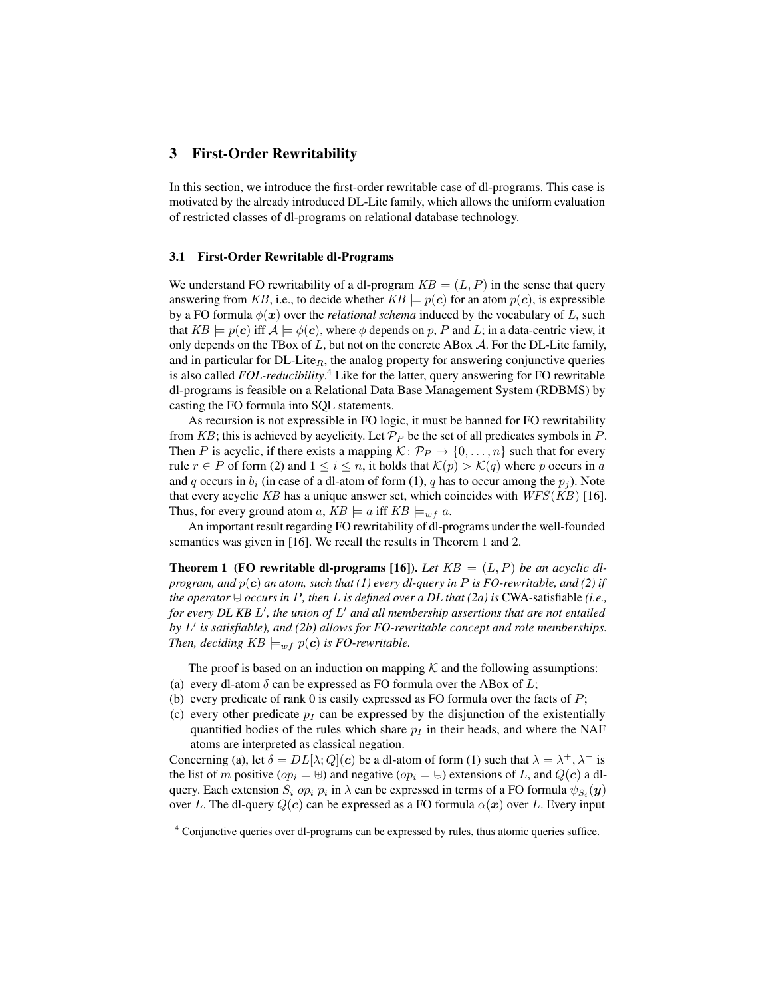### 3 First-Order Rewritability

In this section, we introduce the first-order rewritable case of dl-programs. This case is motivated by the already introduced DL-Lite family, which allows the uniform evaluation of restricted classes of dl-programs on relational database technology.

### 3.1 First-Order Rewritable dl-Programs

We understand FO rewritability of a dl-program  $KB = (L, P)$  in the sense that query answering from KB, i.e., to decide whether  $KB \models p(c)$  for an atom  $p(c)$ , is expressible by a FO formula  $\phi(x)$  over the *relational schema* induced by the vocabulary of L, such that  $KB \models p(c)$  iff  $A \models \phi(c)$ , where  $\phi$  depends on p, P and L; in a data-centric view, it only depends on the TBox of  $L$ , but not on the concrete ABox  $A$ . For the DL-Lite family, and in particular for  $DL\text{-}Like_R$ , the analog property for answering conjunctive queries is also called *FOL-reducibility*. <sup>4</sup> Like for the latter, query answering for FO rewritable dl-programs is feasible on a Relational Data Base Management System (RDBMS) by casting the FO formula into SQL statements.

As recursion is not expressible in FO logic, it must be banned for FO rewritability from KB; this is achieved by acyclicity. Let  $\mathcal{P}_P$  be the set of all predicates symbols in P. Then P is acyclic, if there exists a mapping  $\mathcal{K} \colon \mathcal{P}_P \to \{0, \ldots, n\}$  such that for every rule  $r \in P$  of form (2) and  $1 \leq i \leq n$ , it holds that  $\mathcal{K}(p) > \mathcal{K}(q)$  where p occurs in a and q occurs in  $b_i$  (in case of a dl-atom of form (1), q has to occur among the  $p_i$ ). Note that every acyclic KB has a unique answer set, which coincides with  $WFS(KB)$  [16]. Thus, for every ground atom a,  $KB \models a$  iff  $KB \models_{w f} a$ .

An important result regarding FO rewritability of dl-programs under the well-founded semantics was given in [16]. We recall the results in Theorem 1 and 2.

**Theorem 1 (FO rewritable dl-programs [16]).** Let  $KB = (L, P)$  be an acyclic dl*program, and* p(c) *an atom, such that (1) every dl-query in* P *is FO-rewritable, and (2) if the operator*  $\cup$  *occurs in* P, then L *is defined over a DL that (2a) is* CWA-satisfiable *(i.e.,* for every DL KB L', the union of L' and all membership assertions that are not entailed by L' is satisfiable), and (2b) allows for FO-rewritable concept and role memberships. *Then, deciding*  $KB \models_{wf} p(c)$  *is FO-rewritable.* 

The proof is based on an induction on mapping  $K$  and the following assumptions: (a) every dl-atom  $\delta$  can be expressed as FO formula over the ABox of L;

- (b) every predicate of rank 0 is easily expressed as FO formula over the facts of  $P$ ;
- (c) every other predicate  $p_I$  can be expressed by the disjunction of the existentially quantified bodies of the rules which share  $p_I$  in their heads, and where the NAF atoms are interpreted as classical negation.

Concerning (a), let  $\delta = DL[\lambda; Q](c)$  be a dl-atom of form (1) such that  $\lambda = \lambda^+, \lambda^-$  is the list of m positive ( $op_i = \biguplus$ ) and negative ( $op_i = \biguplus$ ) extensions of L, and  $Q(c)$  a dlquery. Each extension  $S_i$  o $p_i$   $p_i$  in  $\lambda$  can be expressed in terms of a FO formula  $\psi_{S_i}(\bm{y})$ over L. The dl-query  $Q(c)$  can be expressed as a FO formula  $\alpha(x)$  over L. Every input

<sup>4</sup> Conjunctive queries over dl-programs can be expressed by rules, thus atomic queries suffice.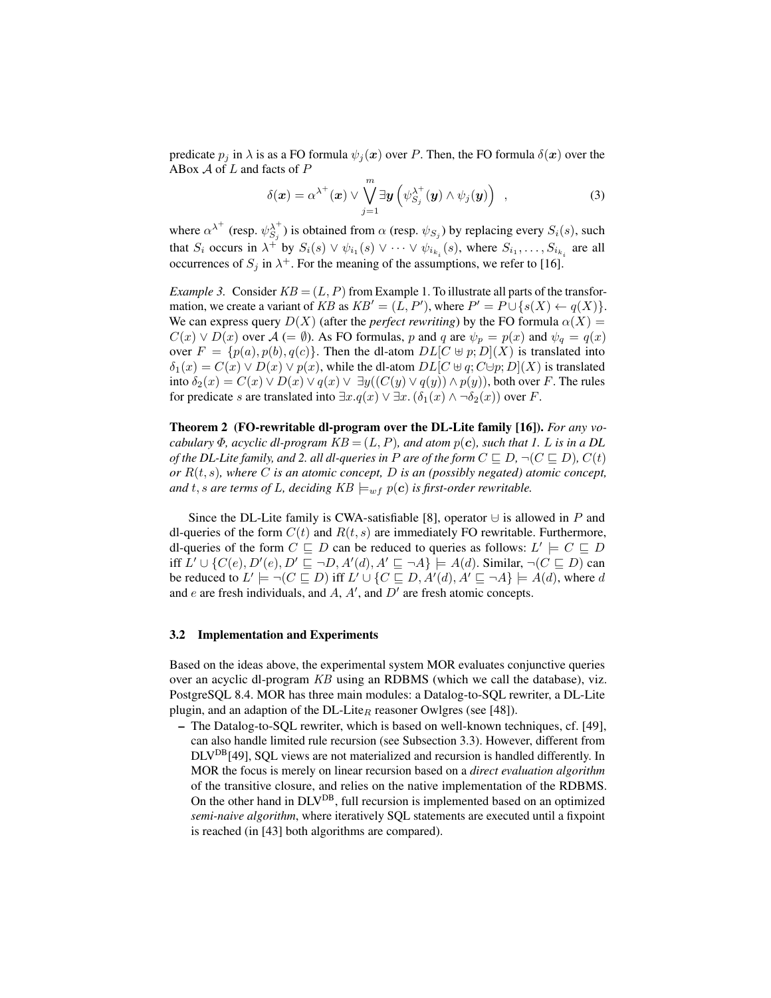predicate  $p_i$  in  $\lambda$  is as a FO formula  $\psi_i(x)$  over P. Then, the FO formula  $\delta(x)$  over the ABox  $A$  of  $L$  and facts of  $P$ 

$$
\delta(\boldsymbol{x}) = \alpha^{\lambda^+}(\boldsymbol{x}) \vee \bigvee_{j=1}^m \exists \boldsymbol{y} \left( \psi_{S_j}^{\lambda^+}(\boldsymbol{y}) \wedge \psi_j(\boldsymbol{y}) \right) , \qquad (3)
$$

where  $\alpha^{\lambda^+}$  (resp.  $\psi_{S_j}^{\lambda^+}$ ) is obtained from  $\alpha$  (resp.  $\psi_{S_j}$ ) by replacing every  $S_i(s)$ , such that  $S_i$  occurs in  $\lambda^+$  by  $S_i(s) \vee \psi_{i_1}(s) \vee \cdots \vee \psi_{i_{k_i}}(s)$ , where  $S_{i_1}, \ldots, S_{i_{k_i}}$  are all occurrences of  $S_j$  in  $\lambda^+$ . For the meaning of the assumptions, we refer to [16].

*Example 3.* Consider  $KB = (L, P)$  from Example 1. To illustrate all parts of the transformation, we create a variant of KB as  $KB' = (L, P')$ , where  $P' = P \cup \{s(X) \leftarrow q(X)\}.$ We can express query  $D(X)$  (after the *perfect rewriting*) by the FO formula  $\alpha(X)$  =  $C(x) \vee D(x)$  over  $\mathcal{A} = \emptyset$ . As FO formulas, p and q are  $\psi_p = p(x)$  and  $\psi_q = q(x)$ over  $F = \{p(a), p(b), q(c)\}\$ . Then the dl-atom  $DL[C \oplus p; D](X)$  is translated into  $\delta_1(x) = C(x) \vee D(x) \vee p(x)$ , while the dl-atom  $DL[C \oplus q; C \oplus p; D](X)$  is translated into  $\delta_2(x) = C(x) \vee D(x) \vee q(x) \vee \exists y ((C(y) \vee q(y)) \wedge p(y))$ , both over F. The rules for predicate s are translated into  $\exists x . q(x) \vee \exists x . (\delta_1(x) \wedge \neg \delta_2(x))$  over F.

Theorem 2 (FO-rewritable dl-program over the DL-Lite family [16]). *For any vocabulary*  $\Phi$ *, acyclic dl-program*  $KB = (L, P)$ *, and atom*  $p(c)$ *, such that 1. L is in a DL of the DL-Lite family, and 2. all dl-queries in P are of the form*  $C \sqsubseteq D$ *,*  $\neg (C \sqsubseteq D)$ *<i>,*  $C(t)$ *or* R(t, s)*, where* C *is an atomic concept,* D *is an (possibly negated) atomic concept, and* t, *s* are terms of L, deciding  $KB \models_{wf} p(c)$  is first-order rewritable.

Since the DL-Lite family is CWA-satisfiable [8], operator  $\cup$  is allowed in P and dl-queries of the form  $C(t)$  and  $R(t, s)$  are immediately FO rewritable. Furthermore, dl-queries of the form  $C \sqsubseteq D$  can be reduced to queries as follows:  $L' \models C \sqsubseteq D$ iff  $L' \cup \{C(e), D'(e), D' \sqsubseteq \neg D, A'(d), A' \sqsubseteq \neg A\} \models A(d)$ . Similar,  $\neg (C \sqsubseteq D)$  can be reduced to  $L' \models \neg (C \sqsubseteq D)$  iff  $L' \cup \{C \sqsubseteq D, A'(d), A' \sqsubseteq \neg A\} \models A(d)$ , where d and  $e$  are fresh individuals, and  $A$ ,  $A'$ , and  $D'$  are fresh atomic concepts.

### 3.2 Implementation and Experiments

Based on the ideas above, the experimental system MOR evaluates conjunctive queries over an acyclic dl-program KB using an RDBMS (which we call the database), viz. PostgreSQL 8.4. MOR has three main modules: a Datalog-to-SQL rewriter, a DL-Lite plugin, and an adaption of the DL-Lite<sub>R</sub> reasoner Owlgres (see [48]).

– The Datalog-to-SQL rewriter, which is based on well-known techniques, cf. [49], can also handle limited rule recursion (see Subsection 3.3). However, different from DLVDB[49], SQL views are not materialized and recursion is handled differently. In MOR the focus is merely on linear recursion based on a *direct evaluation algorithm* of the transitive closure, and relies on the native implementation of the RDBMS. On the other hand in  $DLV^{DB}$ , full recursion is implemented based on an optimized *semi-naive algorithm*, where iteratively SQL statements are executed until a fixpoint is reached (in [43] both algorithms are compared).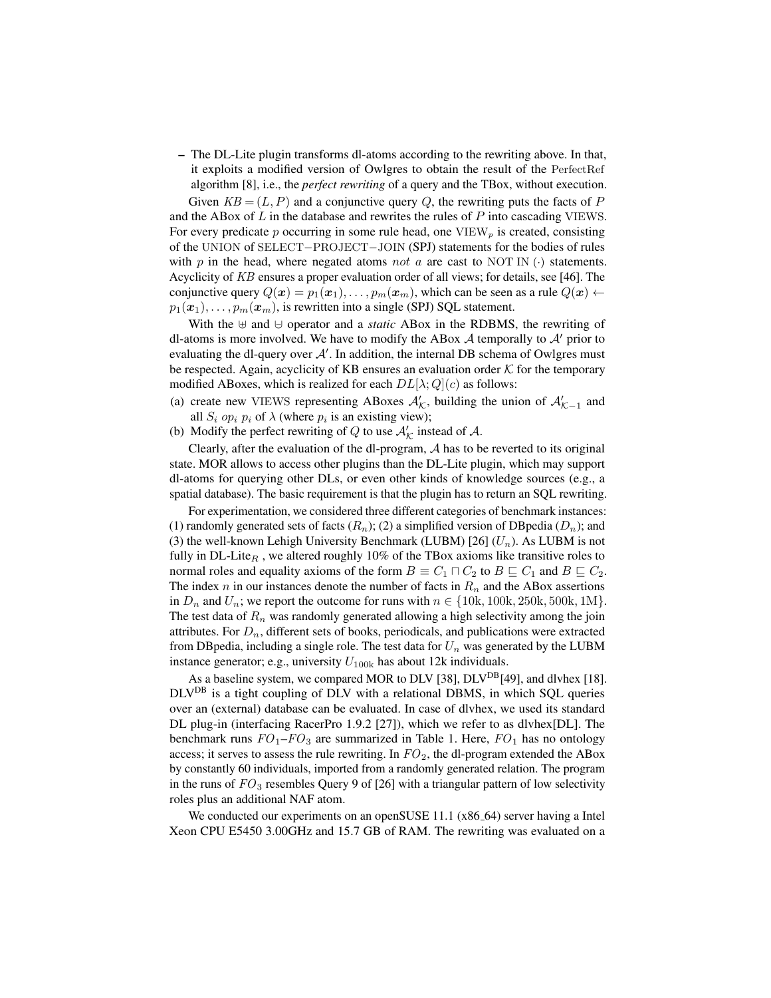– The DL-Lite plugin transforms dl-atoms according to the rewriting above. In that, it exploits a modified version of Owlgres to obtain the result of the PerfectRef algorithm [8], i.e., the *perfect rewriting* of a query and the TBox, without execution.

Given  $KB = (L, P)$  and a conjunctive query Q, the rewriting puts the facts of P and the ABox of  $L$  in the database and rewrites the rules of  $P$  into cascading VIEWS. For every predicate p occurring in some rule head, one  $VIEW<sub>p</sub>$  is created, consisting of the UNION of SELECT−PROJECT−JOIN (SPJ) statements for the bodies of rules with p in the head, where negated atoms not a are cast to NOT IN  $(\cdot)$  statements. Acyclicity of KB ensures a proper evaluation order of all views; for details, see [46]. The conjunctive query  $Q(x) = p_1(x_1), \ldots, p_m(x_m)$ , which can be seen as a rule  $Q(x)$  $p_1(\boldsymbol{x}_1), \ldots, p_m(\boldsymbol{x}_m)$ , is rewritten into a single (SPJ) SQL statement.

With the  $\uplus$  and  $\uplus$  operator and a *static* ABox in the RDBMS, the rewriting of dl-atoms is more involved. We have to modify the ABox  $A$  temporally to  $A'$  prior to evaluating the dl-query over  $A'$ . In addition, the internal DB schema of Owlgres must be respected. Again, acyclicity of KB ensures an evaluation order  $K$  for the temporary modified ABoxes, which is realized for each  $DL[\lambda; Q](c)$  as follows:

- (a) create new VIEWS representing ABoxes  $\mathcal{A}'_{\mathcal{K}}$ , building the union of  $\mathcal{A}'_{\mathcal{K}-1}$  and all  $S_i$  op<sub>i</sub>  $p_i$  of  $\lambda$  (where  $p_i$  is an existing view);
- (b) Modify the perfect rewriting of Q to use  $A'_\mathcal{K}$  instead of A.

Clearly, after the evaluation of the dl-program, A has to be reverted to its original state. MOR allows to access other plugins than the DL-Lite plugin, which may support dl-atoms for querying other DLs, or even other kinds of knowledge sources (e.g., a spatial database). The basic requirement is that the plugin has to return an SQL rewriting.

For experimentation, we considered three different categories of benchmark instances: (1) randomly generated sets of facts  $(R_n)$ ; (2) a simplified version of DB pedia  $(D_n)$ ; and (3) the well-known Lehigh University Benchmark (LUBM) [26]  $(U_n)$ . As LUBM is not fully in DL-Lite<sub>R</sub>, we altered roughly 10% of the TBox axioms like transitive roles to normal roles and equality axioms of the form  $B \equiv C_1 \sqcap C_2$  to  $B \sqsubseteq C_1$  and  $B \sqsubseteq C_2$ . The index n in our instances denote the number of facts in  $R_n$  and the ABox assertions in  $D_n$  and  $U_n$ ; we report the outcome for runs with  $n \in \{10k, 100k, 250k, 500k, 1M\}$ . The test data of  $R_n$  was randomly generated allowing a high selectivity among the join attributes. For  $D_n$ , different sets of books, periodicals, and publications were extracted from DB pedia, including a single role. The test data for  $U_n$  was generated by the LUBM instance generator; e.g., university  $U_{100k}$  has about 12k individuals.

As a baseline system, we compared MOR to DLV [38], DLV<sup>DB</sup>[49], and dlvhex [18]. DLVDB is a tight coupling of DLV with a relational DBMS, in which SQL queries over an (external) database can be evaluated. In case of dlvhex, we used its standard DL plug-in (interfacing RacerPro 1.9.2 [27]), which we refer to as dlvhex[DL]. The benchmark runs  $FO_1$ – $FO_3$  are summarized in Table 1. Here,  $FO_1$  has no ontology access; it serves to assess the rule rewriting. In  $FO_2$ , the dl-program extended the ABox by constantly 60 individuals, imported from a randomly generated relation. The program in the runs of  $FO_3$  resembles Query 9 of [26] with a triangular pattern of low selectivity roles plus an additional NAF atom.

We conducted our experiments on an openSUSE 11.1 (x86\_64) server having a Intel Xeon CPU E5450 3.00GHz and 15.7 GB of RAM. The rewriting was evaluated on a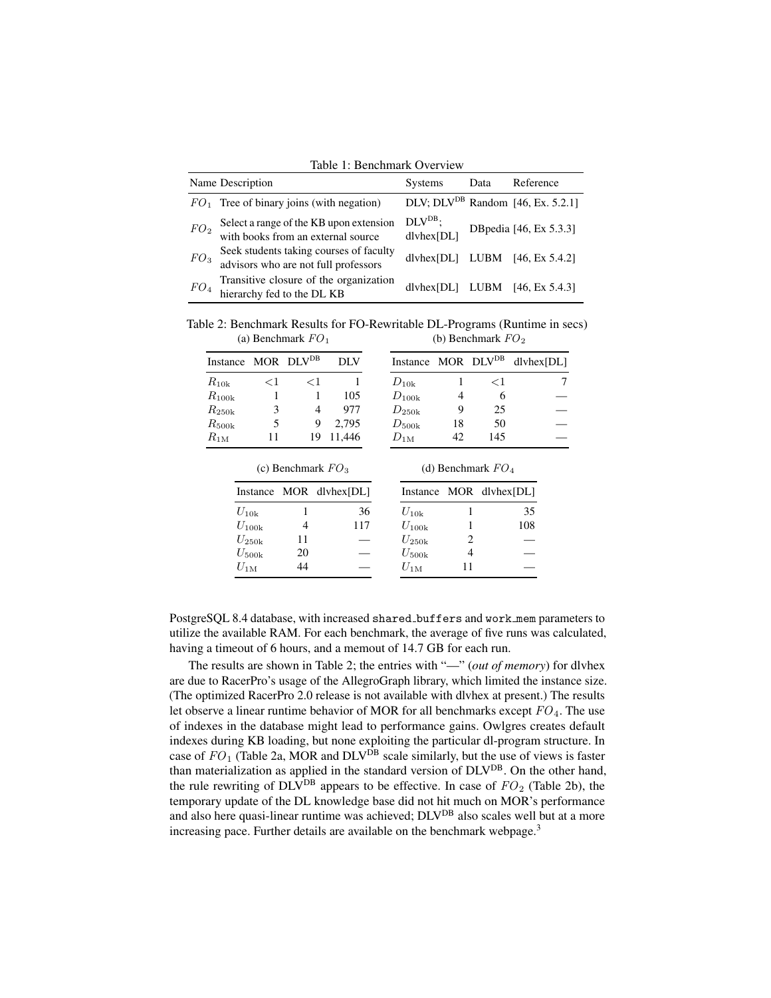Table 1: Benchmark Overview

|                 | Name Description                                                                | Systems                 | Data | Reference                              |
|-----------------|---------------------------------------------------------------------------------|-------------------------|------|----------------------------------------|
|                 | $FO1$ Tree of binary joins (with negation)                                      |                         |      | DLV; $DLV^{DB}$ Random [46, Ex. 5.2.1] |
| FO <sub>2</sub> | Select a range of the KB upon extension<br>with books from an external source   | $DLVDB$ ;<br>dlyhex[DL] |      | DBpedia [46, Ex 5.3.3]                 |
| FO <sub>3</sub> | Seek students taking courses of faculty<br>advisors who are not full professors |                         |      | dlyhex $[DL]$ LUBM $[46, Ex 5.4.2]$    |
| FO <sub>4</sub> | Transitive closure of the organization<br>hierarchy fed to the DL KB            |                         |      | dlvhex $[DL]$ LUBM $[46, Ex 5.4.3]$    |

Table 2: Benchmark Results for FO-Rewritable DL-Programs (Runtime in secs) (a) Benchmark  $FO_1$ (b) Benchmark  $FO<sub>2</sub>$ 

|                                |          | $\mathcal{L}$ beneminant $\mathcal{L}$ |            |                                           |    | $\overline{\mathcal{L}}$ |  |
|--------------------------------|----------|----------------------------------------|------------|-------------------------------------------|----|--------------------------|--|
| Instance MOR DLV <sup>DB</sup> |          |                                        | <b>DLV</b> | Instance MOR DLV <sup>DB</sup> dlvhex[DL] |    |                          |  |
| $R_{10k}$                      | $\leq$ 1 | 91                                     |            | $D_{10k}$                                 |    | $\leq$ 1                 |  |
| $R_{100k}$                     |          |                                        | 105        | $D_{100k}$                                | 4  |                          |  |
| $R_{\rm 250k}$                 |          | 4                                      | 977        | $D_{\rm 250k}$                            | 9  | 25                       |  |
| $R_{\rm 500k}$                 |          | 9                                      | 2.795      | $D_{500k}$                                | 18 | 50                       |  |
| $R_{1\mathrm{M}}$              |          | 19                                     | 11.446     | $D_{1M}$                                  | 42 | 145                      |  |

|                |    | (c) Benchmark $FO_3$    |            | (d) Benchmark $FO_4$ |                         |  |  |  |
|----------------|----|-------------------------|------------|----------------------|-------------------------|--|--|--|
|                |    | Instance MOR dlyhex[DL] |            |                      | Instance MOR dlyhex[DL] |  |  |  |
| $U_{10k}$      |    | 36                      | $U_{10k}$  |                      | 35                      |  |  |  |
| $U_{100k}$     |    | 117                     | $U_{100k}$ |                      | 108                     |  |  |  |
| $U_{\rm 250k}$ | 11 |                         | $U_{250k}$ |                      |                         |  |  |  |
| $U_{\rm 500k}$ | 20 |                         | $U_{500k}$ |                      |                         |  |  |  |
| $U_{1M}$       |    |                         | $U_{1M}$   |                      |                         |  |  |  |

PostgreSQL 8.4 database, with increased shared buffers and work mem parameters to utilize the available RAM. For each benchmark, the average of five runs was calculated, having a timeout of 6 hours, and a memout of 14.7 GB for each run.

The results are shown in Table 2; the entries with "—" (*out of memory*) for dlvhex are due to RacerPro's usage of the AllegroGraph library, which limited the instance size. (The optimized RacerPro 2.0 release is not available with dlvhex at present.) The results let observe a linear runtime behavior of MOR for all benchmarks except  $FO<sub>4</sub>$ . The use of indexes in the database might lead to performance gains. Owlgres creates default indexes during KB loading, but none exploiting the particular dl-program structure. In case of  $FO_1$  (Table 2a, MOR and  $DLV^{DB}$  scale similarly, but the use of views is faster than materialization as applied in the standard version of DLVDB. On the other hand, the rule rewriting of DLV<sup>DB</sup> appears to be effective. In case of  $FO_2$  (Table 2b), the temporary update of the DL knowledge base did not hit much on MOR's performance and also here quasi-linear runtime was achieved; DLV<sup>DB</sup> also scales well but at a more increasing pace. Further details are available on the benchmark webpage.<sup>3</sup>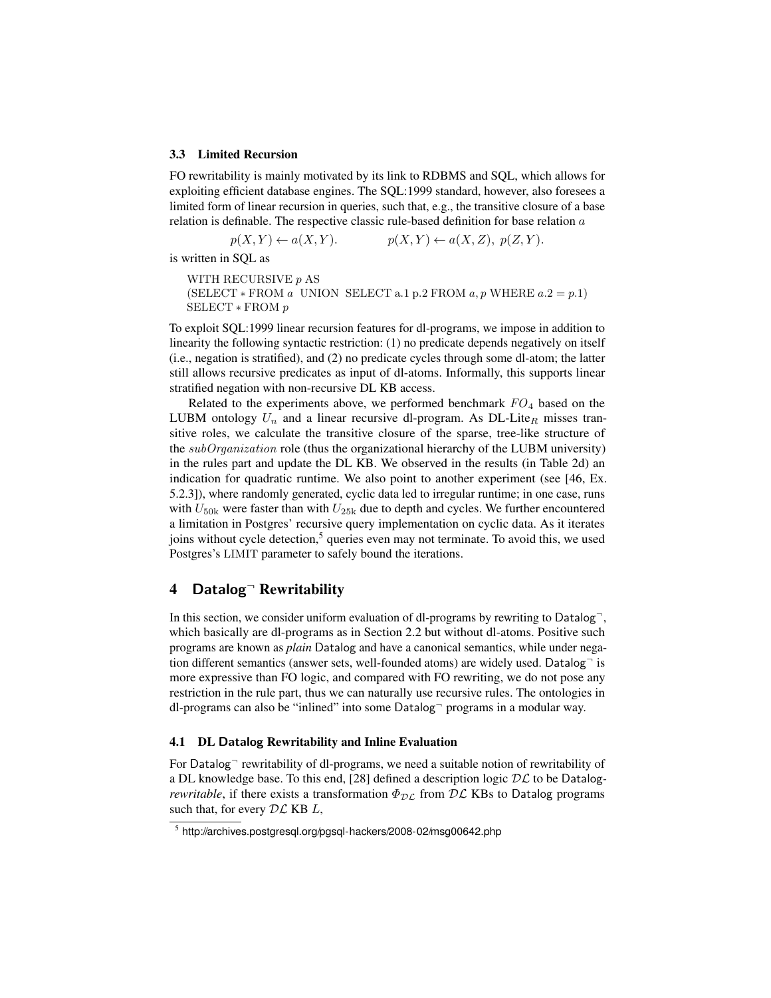#### 3.3 Limited Recursion

FO rewritability is mainly motivated by its link to RDBMS and SQL, which allows for exploiting efficient database engines. The SQL:1999 standard, however, also foresees a limited form of linear recursion in queries, such that, e.g., the transitive closure of a base relation is definable. The respective classic rule-based definition for base relation  $a$ 

$$
p(X,Y) \leftarrow a(X,Y). \qquad p(X,Y) \leftarrow a(X,Z), \ p(Z,Y).
$$

is written in SQL as

WITH RECURSIVE p AS (SELECT  $*$  FROM a UNION SELECT a.1 p.2 FROM a, p WHERE  $a.2 = p.1$ ) SELECT ∗ FROM p

To exploit SQL:1999 linear recursion features for dl-programs, we impose in addition to linearity the following syntactic restriction: (1) no predicate depends negatively on itself (i.e., negation is stratified), and (2) no predicate cycles through some dl-atom; the latter still allows recursive predicates as input of dl-atoms. Informally, this supports linear stratified negation with non-recursive DL KB access.

Related to the experiments above, we performed benchmark  $FO_4$  based on the LUBM ontology  $U_n$  and a linear recursive dl-program. As DL-Lite<sub>R</sub> misses transitive roles, we calculate the transitive closure of the sparse, tree-like structure of the  $sub Organization$  role (thus the organizational hierarchy of the LUBM university) in the rules part and update the DL KB. We observed in the results (in Table 2d) an indication for quadratic runtime. We also point to another experiment (see [46, Ex. 5.2.3]), where randomly generated, cyclic data led to irregular runtime; in one case, runs with  $U_{50k}$  were faster than with  $U_{25k}$  due to depth and cycles. We further encountered a limitation in Postgres' recursive query implementation on cyclic data. As it iterates joins without cycle detection, $5$  queries even may not terminate. To avoid this, we used Postgres's LIMIT parameter to safely bound the iterations.

## 4 Datalog<sup>¬</sup> Rewritability

In this section, we consider uniform evaluation of dl-programs by rewriting to  $\text{Database} \square$ , which basically are dl-programs as in Section 2.2 but without dl-atoms. Positive such programs are known as *plain* Datalog and have a canonical semantics, while under negation different semantics (answer sets, well-founded atoms) are widely used. Datalog $\bar{ }$  is more expressive than FO logic, and compared with FO rewriting, we do not pose any restriction in the rule part, thus we can naturally use recursive rules. The ontologies in dl-programs can also be "inlined" into some  $\text{Database}$ " programs in a modular way.

### 4.1 DL Datalog Rewritability and Inline Evaluation

For Datalog $\bar{ }$  rewritability of dl-programs, we need a suitable notion of rewritability of a DL knowledge base. To this end, [28] defined a description logic DL to be Datalog*rewritable*, if there exists a transformation  $\Phi_{\mathcal{DL}}$  from  $\mathcal{DL}$  KBs to Datalog programs such that, for every  $D\mathcal{L}$  KB  $L$ ,

<sup>&</sup>lt;sup>5</sup> http://archives.postgresql.org/pgsql-hackers/2008-02/msg00642.php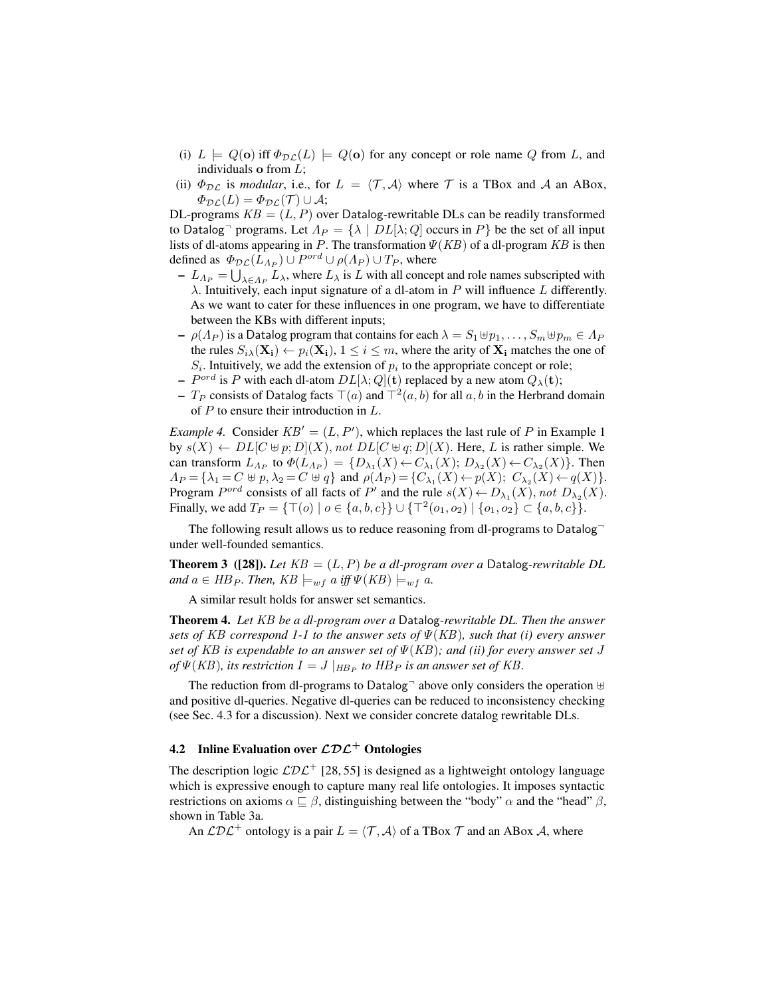- (i)  $L \models Q(\mathbf{o})$  iff  $\Phi_{\mathcal{DL}}(L) \models Q(\mathbf{o})$  for any concept or role name Q from L, and individuals **o** from  $L$ ;
- (ii)  $\Phi_{\text{DL}}$  is *modular*, i.e., for  $L = \langle \mathcal{T}, \mathcal{A} \rangle$  where  $\mathcal{T}$  is a TBox and A an ABox,  $\Phi_{\mathcal{DL}}(L) = \Phi_{\mathcal{DL}}(\mathcal{T}) \cup \mathcal{A};$

DL-programs  $KB = (L, P)$  over Datalog-rewritable DLs can be readily transformed to Datalog<sup>-</sup> programs. Let  $\Lambda_P = {\lambda | DL[\lambda; Q] \overline{loc}}$  occurs in P be the set of all input lists of dl-atoms appearing in P. The transformation  $\Psi(KB)$  of a dl-program KB is then defined as  $\Phi_{\mathcal{DL}}(L_{A_P}) \cup P^{ord} \cup \rho(A_P) \cup T_P$ , where

- $-L_{\Lambda_P} = \bigcup_{\lambda \in \Lambda_P} L_\lambda$ , where  $L_\lambda$  is L with all concept and role names subscripted with  $\lambda$ . Intuitively, each input signature of a dl-atom in P will influence L differently. As we want to cater for these influences in one program, we have to differentiate between the KBs with different inputs;
- $\rho(A_P)$  is a Datalog program that contains for each  $\lambda = S_1 \oplus p_1, \ldots, S_m \oplus p_m \in A_P$ the rules  $S_i \setminus (\mathbf{X_i}) \leftarrow p_i(\mathbf{X_i})$ ,  $1 \leq i \leq m$ , where the arity of  $\mathbf{X_i}$  matches the one of  $S_i$ . Intuitively, we add the extension of  $p_i$  to the appropriate concept or role;
- $P^{ord}$  is P with each dl-atom  $DL[\lambda; Q](\mathbf{t})$  replaced by a new atom  $Q_{\lambda}(\mathbf{t});$
- $T_P$  consists of Datalog facts  $\top(a)$  and  $\top^2(a, b)$  for all  $a, b$  in the Herbrand domain of  $P$  to ensure their introduction in  $L$ .

*Example 4.* Consider  $KB' = (L, P')$ , which replaces the last rule of P in Example 1 by  $s(X) \leftarrow DL[C \oplus p; D](X)$ , not  $DL[C \oplus q; D](X)$ . Here, L is rather simple. We can transform  $L_{A_P}$  to  $\Phi(L_{A_P}) = \{D_{\lambda_1}(X) \leftarrow C_{\lambda_1}(X); D_{\lambda_2}(X) \leftarrow C_{\lambda_2}(X)\}.$  Then  $\Lambda_P = \{\lambda_1 = C \uplus p, \lambda_2 = C \uplus q\}$  and  $\rho(\Lambda_P) = \{C_{\lambda_1}(X) \leftarrow p(X); C_{\lambda_2}(X) \leftarrow q(X)\}.$ Program  $P^{ord}$  consists of all facts of  $P'$  and the rule  $s(X) \leftarrow D_{\lambda_1}(X)$ , not  $D_{\lambda_2}(X)$ . Finally, we add  $T_P = \{ \top(o) \mid o \in \{a, b, c\} \} \cup \{ \top^2(o_1, o_2) \mid \{o_1, o_2\} \subset \{a, b, c\} \}.$ 

The following result allows us to reduce reasoning from dl-programs to Datalog $\overline{\ }$ under well-founded semantics.

**Theorem 3** ([28]). Let  $KB = (L, P)$  be a dl-program over a Datalog-rewritable DL and  $a \in HB_P$ . Then,  $KB \models_{wf} a \text{ iff } \Psi(KB) \models_{wf} a$ .

A similar result holds for answer set semantics.

Theorem 4. *Let* KB *be a dl-program over a* Datalog*-rewritable DL. Then the answer sets of* KB *correspond 1-1 to the answer sets of* Ψ(KB)*, such that (i) every answer set of* KB *is expendable to an answer set of* Ψ(KB)*; and (ii) for every answer set* J *of*  $\Psi(KB)$ , its restriction  $I = J \vert_{H B_P}$  to  $H B_P$  is an answer set of KB.

The reduction from dl-programs to Datalog $\neg$  above only considers the operation  $\uplus$ and positive dl-queries. Negative dl-queries can be reduced to inconsistency checking (see Sec. 4.3 for a discussion). Next we consider concrete datalog rewritable DLs.

### 4.2 Inline Evaluation over  $\mathcal{L} \mathcal{D} \mathcal{L}^+$  Ontologies

The description logic  $L\mathcal{DL}^+$  [28, 55] is designed as a lightweight ontology language which is expressive enough to capture many real life ontologies. It imposes syntactic restrictions on axioms  $\alpha \sqsubset \beta$ , distinguishing between the "body"  $\alpha$  and the "head"  $\beta$ , shown in Table 3a.

An  $\mathcal{L} \mathcal{D} \mathcal{L}^+$  ontology is a pair  $L = \langle \mathcal{T}, \mathcal{A} \rangle$  of a TBox  $\mathcal{T}$  and an ABox  $\mathcal{A}$ , where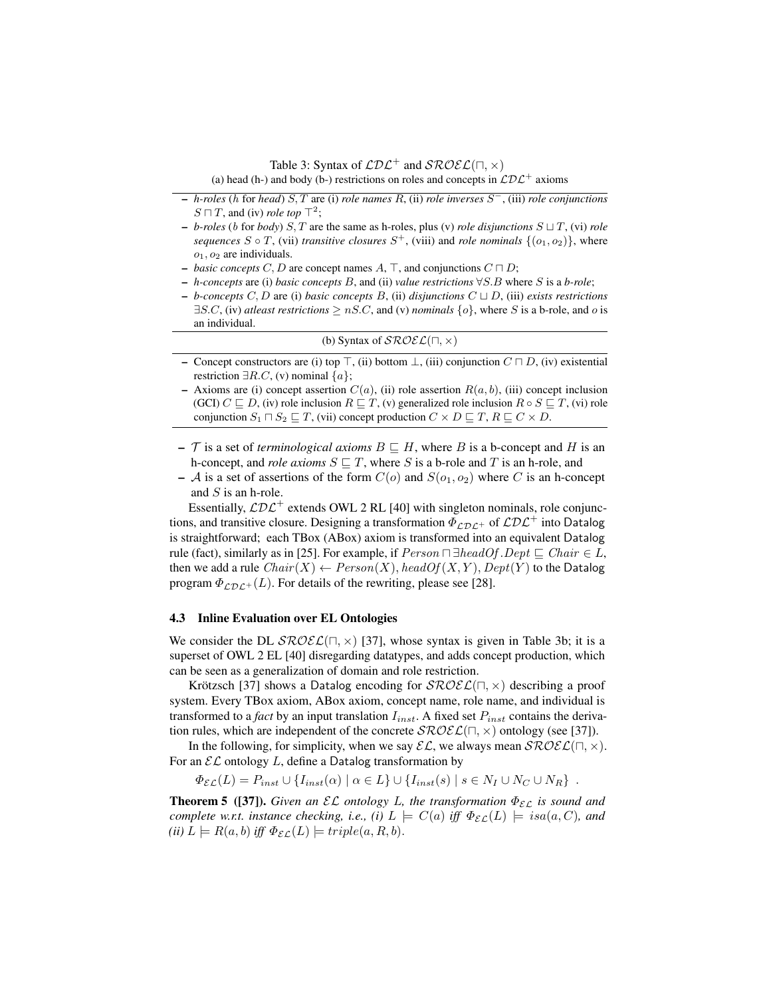Table 3: Syntax of  $\mathcal{L}D\mathcal{L}^+$  and  $\mathcal{SROEL}(\Pi, \times)$ 

(a) head (h-) and body (b-) restrictions on roles and concepts in  $\mathcal{L}D\mathcal{L}^+$  axioms

- *h-roles* (h for *head*) S, T are (i) *role names* R, (ii) *role inverses* S <sup>−</sup>, (iii) *role conjunctions*  $S \sqcap T$ , and (iv) *role top*  $\top^2$ ;
- $-$  *b-roles* (*b* for *body*) S, T are the same as h-roles, plus (v) *role disjunctions*  $S \sqcup T$ , (vi) *role sequences*  $S \circ T$ , (vii) *transitive closures*  $S^+$ , (viii) and *role nominals*  $\{(o_1, o_2)\}$ , where  $o_1$ ,  $o_2$  are individuals.
- *basic concepts* C, D are concept names A,  $\top$ , and conjunctions  $C \sqcap D$ ;
- *h-concepts* are (i) *basic concepts* B, and (ii) *value restrictions* ∀S.B where S is a *b-role*;
- $-$  *b*-concepts C, D are (i) basic concepts B, (ii) disjunctions  $C \sqcup D$ , (iii) exists restrictions  $\exists S.C$ , (iv) *atleast restrictions*  $\geq nS.C$ , and (v) *nominals*  $\{o\}$ , where S is a b-role, and o is an individual.

|  | (b) Syntax of $\mathcal{SROEL}(\square, \times)$ |  |
|--|--------------------------------------------------|--|
|--|--------------------------------------------------|--|

- Concept constructors are (i) top  $\top$ , (ii) bottom  $\bot$ , (iii) conjunction  $C \sqcap D$ , (iv) existential restriction  $\exists R.C$ , (v) nominal  $\{a\}$ ;
- Axioms are (i) concept assertion  $C(a)$ , (ii) role assertion  $R(a, b)$ , (iii) concept inclusion (GCI)  $C \sqsubseteq D$ , (iv) role inclusion  $R \sqsubseteq T$ , (v) generalized role inclusion  $R \circ S \sqsubseteq T$ , (vi) role conjunction  $S_1 \sqcap S_2 \sqsubseteq T$ , (vii) concept production  $C \times D \sqsubseteq T$ ,  $R \sqsubseteq C \times D$ .
- $-$  T is a set of *terminological axioms*  $B \subseteq H$ , where B is a b-concept and H is an h-concept, and *role axioms*  $S \subseteq T$ , where S is a b-role and T is an h-role, and
- A is a set of assertions of the form  $C(o)$  and  $S(o_1, o_2)$  where C is an h-concept and S is an h-role.

Essentially,  $L\mathcal{DL}^+$  extends OWL 2 RL [40] with singleton nominals, role conjunctions, and transitive closure. Designing a transformation  $\Phi_{\mathcal{LDL}^+}$  of  $\mathcal{LDL}^+$  into Datalog is straightforward; each TBox (ABox) axiom is transformed into an equivalent Datalog rule (fact), similarly as in [25]. For example, if  $Person \Box \exists headOf.Dept \sqsubseteq Chair \in L$ , then we add a rule  $Chair(X) \leftarrow Person(X)$ , head  $Of(X, Y)$ ,  $Depth(Y)$  to the Datalog program  $\Phi_{\mathcal{LDL}+}(L)$ . For details of the rewriting, please see [28].

### 4.3 Inline Evaluation over EL Ontologies

We consider the DL  $\mathcal{SROEL}(\Pi, \times)$  [37], whose syntax is given in Table 3b; it is a superset of OWL 2 EL [40] disregarding datatypes, and adds concept production, which can be seen as a generalization of domain and role restriction.

Krötzsch [37] shows a Datalog encoding for  $\mathcal{SROEL}(\Pi, \times)$  describing a proof system. Every TBox axiom, ABox axiom, concept name, role name, and individual is transformed to a *fact* by an input translation  $I_{inst}$ . A fixed set  $P_{inst}$  contains the derivation rules, which are independent of the concrete  $\mathcal{SROEL}(\Pi, \times)$  ontology (see [37]).

In the following, for simplicity, when we say  $\mathcal{EL}$ , we always mean  $\mathcal{SROEL}(\sqcap, \times)$ . For an  $\mathcal{EL}$  ontology L, define a Datalog transformation by

 $\Phi_{\mathcal{EL}}(L) = P_{inst} \cup \{I_{inst}(\alpha) \mid \alpha \in L\} \cup \{I_{inst}(s) \mid s \in N_I \cup N_C \cup N_R\}$ .

**Theorem 5** ([37]). *Given an*  $\mathcal{EL}$  *ontology L, the transformation*  $\Phi_{\mathcal{EL}}$  *is sound and complete w.r.t. instance checking, i.e., (i)*  $L \models C(a)$  *iff*  $\Phi_{\mathcal{EL}}(L) \models isa(a, C)$ *, and (ii)*  $L \models R(a, b)$  *iff*  $\Phi_{\mathcal{EL}}(L) \models triple(a, R, b).$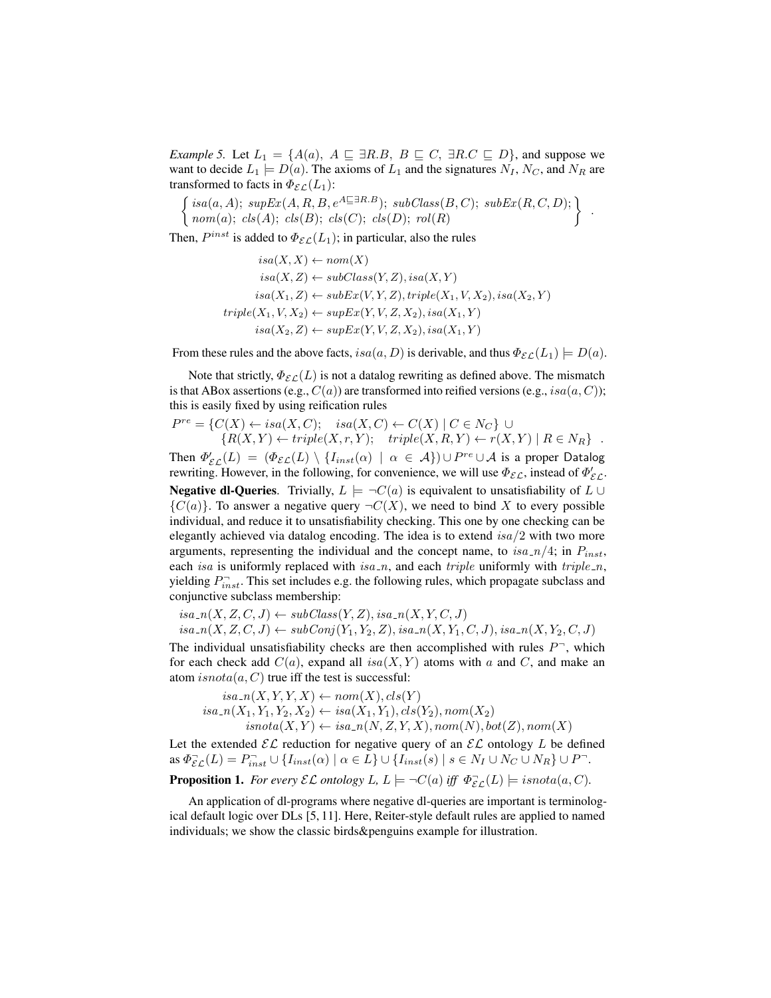*Example 5.* Let  $L_1 = \{A(a), A \sqsubseteq \exists R.B, B \sqsubseteq C, \exists R.C \sqsubseteq D\}$ , and suppose we want to decide  $L_1 \models D(a)$ . The axioms of  $L_1$  and the signatures  $N_I$ ,  $N_C$ , and  $N_R$  are transformed to facts in  $\Phi_{\mathcal{EL}}(L_1)$ :

$$
\left\{\n\begin{array}{l}\nisa(a, A); \, supEx(A, R, B, e^{A \sqsubseteq \exists R.B}); \, subClass(B, C); \, subEx(R, C, D);\n\\ \nnom(a); \, cls(A); \, cls(B); \, cls(C); \, cls(D); \, roll(R)\n\end{array}\n\right\}.
$$

Then,  $P^{inst}$  is added to  $\Phi_{\mathcal{EL}}(L_1)$ ; in particular, also the rules

$$
isa(X, X) \leftarrow nom(X)
$$
  
\n
$$
isa(X, Z) \leftarrow subClass(Y, Z), isa(X, Y)
$$
  
\n
$$
isa(X_1, Z) \leftarrow subEx(V, Y, Z), triple(X_1, V, X_2), isa(X_2, Y)
$$
  
\n
$$
triple(X_1, V, X_2) \leftarrow supEx(Y, V, Z, X_2), isa(X_1, Y)
$$
  
\n
$$
isa(X_2, Z) \leftarrow supEx(Y, V, Z, X_2), isa(X_1, Y)
$$

From these rules and the above facts,  $isa(a, D)$  is derivable, and thus  $\Phi_{\mathcal{EL}}(L_1) \models D(a)$ .

Note that strictly,  $\Phi_{\mathcal{EL}}(L)$  is not a datalog rewriting as defined above. The mismatch is that ABox assertions (e.g.,  $C(a)$ ) are transformed into reified versions (e.g., is $a(a, C)$ ); this is easily fixed by using reification rules

$$
P^{re} = \{C(X) \leftarrow isa(X, C); \quad isa(X, C) \leftarrow C(X) \mid C \in N_C\} \cup \{R(X, Y) \leftarrow triple(X, r, Y); \quad triple(X, R, Y) \leftarrow r(X, Y) \mid R \in N_R\} .
$$

Then  $\varPhi_{\mathcal{EL}}'(L) = (\varPhi_{\mathcal{EL}}(L) \setminus \{I_{inst}(\alpha) \mid \alpha \in \mathcal{A}\}) \cup P^{re} \cup \mathcal{A}$  is a proper Datalog rewriting. However, in the following, for convenience, we will use  $\Phi_{\mathcal{EL}}$ , instead of  $\Phi_{\mathcal{EL}}'$ . **Negative dl-Queries.** Trivially,  $L \models \neg C(a)$  is equivalent to unsatisfiability of  $L \cup$  ${C(a)}$ . To answer a negative query  $\neg C(X)$ , we need to bind X to every possible individual, and reduce it to unsatisfiability checking. This one by one checking can be elegantly achieved via datalog encoding. The idea is to extend  $isa/2$  with two more arguments, representing the individual and the concept name, to  $isa_n/4$ ; in  $P_{inst}$ , each isa is uniformly replaced with isa\_n, and each triple uniformly with triple\_n, yielding  $P_{inst}^-$ . This set includes e.g. the following rules, which propagate subclass and conjunctive subclass membership:

 $isa_n(X, Z, C, J) \leftarrow subClass(Y, Z), isa_n(X, Y, C, J)$  $isa\_{n}(X, Z, C, J) \leftarrow subConj(Y_1, Y_2, Z), isa\_{n}(X, Y_1, C, J), isa\_{n}(X, Y_2, C, J)$ 

The individual unsatisfiability checks are then accomplished with rules  $P^-$ , which for each check add  $C(a)$ , expand all is  $a(X, Y)$  atoms with a and C, and make an atom  $isnota(a, C)$  true iff the test is successful:

$$
is a_n(X, Y, Y, X) \leftarrow nom(X), cls(Y)
$$
  
\n
$$
is a_n(X_1, Y_1, Y_2, X_2) \leftarrow isa(X_1, Y_1), cls(Y_2), nom(X_2)
$$
  
\n
$$
is not a(X, Y) \leftarrow isa_n(N, Z, Y, X), nom(N), bot(Z), nom(X)
$$

Let the extended  $\mathcal{EL}$  reduction for negative query of an  $\mathcal{EL}$  ontology L be defined as  $\Phi_{\mathcal{EL}}^-(L) = P_{inst}^- \cup \{I_{inst}(\alpha) \mid \alpha \in L\} \cup \{I_{inst}(s) \mid s \in N_I \cup N_C \cup N_R\} \cup P^-$ .

**Proposition 1.** For every  $\mathcal{EL}$  ontology L,  $L \models \neg C(a)$  iff  $\Phi_{\mathcal{EL}}^{\neg}(L) \models i \mathit{snota}(a, C)$ .

An application of dl-programs where negative dl-queries are important is terminological default logic over DLs [5, 11]. Here, Reiter-style default rules are applied to named individuals; we show the classic birds&penguins example for illustration.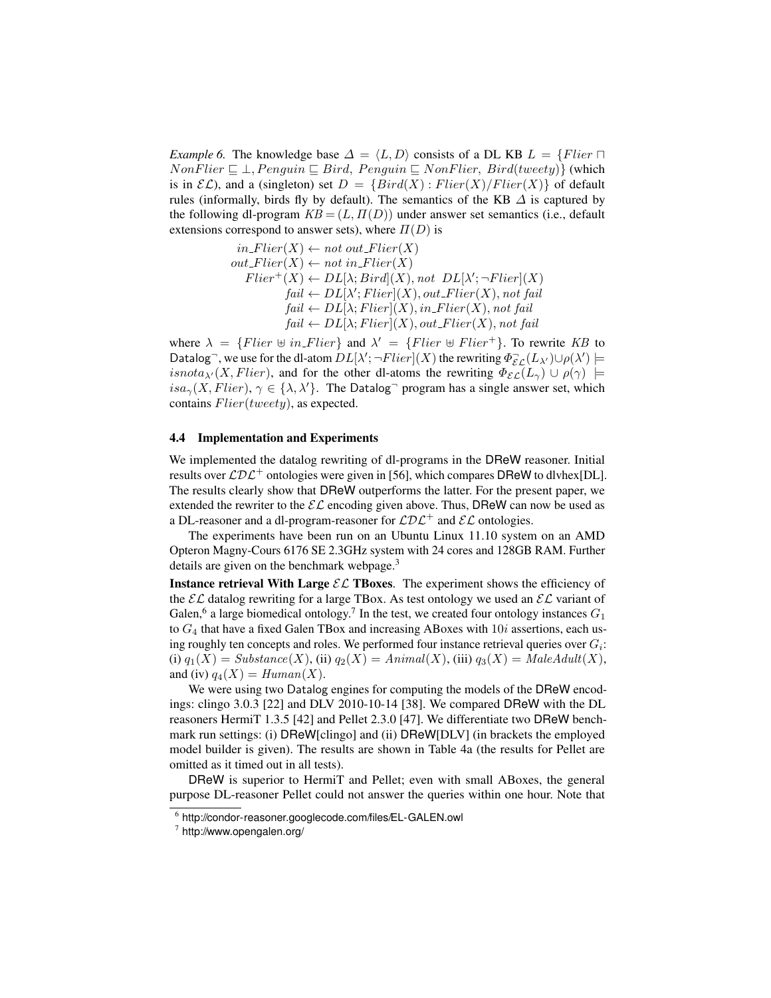*Example 6.* The knowledge base  $\Delta = \langle L, D \rangle$  consists of a DL KB  $L = \{Filter \sqcap$  $NonFlier \sqsubseteq \bot, Penguin \sqsubseteq Bird, Penguin \sqsubseteq NonFlier, Bird(tweety)$  (which is in  $\mathcal{EL}$ ), and a (singleton) set  $D = \{Bird(X) : Flier(X)/Flier(X) \}$  of default rules (informally, birds fly by default). The semantics of the KB  $\Delta$  is captured by the following dl-program  $KB = (L, \Pi(D))$  under answer set semantics (i.e., default extensions correspond to answer sets), where  $\Pi(D)$  is

$$
in\text{Flier}(X) \leftarrow not \text{ out}\text{Flier}(X)
$$
\n
$$
out\text{Flier}(X) \leftarrow not \text{ in}\text{Flier}(X)
$$
\n
$$
Flier^+(X) \leftarrow DL[\lambda; \text{Bird}](X), \text{ not } DL[\lambda'; \neg \text{Flier}](X)
$$
\n
$$
\text{fail} \leftarrow DL[\lambda'; \text{Flier}](X), \text{out}\text{Flier}(X), \text{not fail}
$$
\n
$$
\text{fail} \leftarrow DL[\lambda; \text{Flier}](X), \text{in}\text{Flier}(X), \text{not fail}
$$
\n
$$
\text{fail} \leftarrow DL[\lambda; \text{Flier}](X), \text{out}\text{Flier}(X), \text{not fail}
$$

where  $\lambda = \{Filter \oplus in\_Filter\}$  and  $\lambda' = \{Filter \oplus Filter^+\}$ . To rewrite KB to Datalog<sup>-</sup>, we use for the dl-atom  $DL[\lambda';\neg Flier](X)$  the rewriting  $\Phi_{\mathcal{EL}}^-(L_{\lambda'})\cup \rho(\lambda')\models$ isnota<sub> $\lambda'(X, Flier)$ </sub>, and for the other dl-atoms the rewriting  $\Phi_{\mathcal{EL}}(L_{\gamma}) \cup \rho(\gamma)$  |=  $isa_{\gamma}(X, Flier), \gamma \in \{\lambda, \lambda'\}.$  The Datalog<sup>-</sup> program has a single answer set, which contains Flier(tweety), as expected.

### 4.4 Implementation and Experiments

We implemented the datalog rewriting of dl-programs in the DReW reasoner. Initial results over  $\mathcal{L}D\mathcal{L}^+$  ontologies were given in [56], which compares DReW to dlyhex[DL]. The results clearly show that DReW outperforms the latter. For the present paper, we extended the rewriter to the  $\mathcal{EL}$  encoding given above. Thus, DReW can now be used as a DL-reasoner and a dl-program-reasoner for  $\mathcal{L}D\mathcal{L}^+$  and  $\mathcal{EL}$  ontologies.

The experiments have been run on an Ubuntu Linux 11.10 system on an AMD Opteron Magny-Cours 6176 SE 2.3GHz system with 24 cores and 128GB RAM. Further details are given on the benchmark webpage.<sup>3</sup>

**Instance retrieval With Large**  $\mathcal{EL}$  **TBoxes.** The experiment shows the efficiency of the  $\mathcal{EL}$  datalog rewriting for a large TBox. As test ontology we used an  $\mathcal{EL}$  variant of Galen,<sup>6</sup> a large biomedical ontology.<sup>7</sup> In the test, we created four ontology instances  $G_1$ to  $G_4$  that have a fixed Galen TBox and increasing ABoxes with  $10i$  assertions, each using roughly ten concepts and roles. We performed four instance retrieval queries over  $G_i$ : (i)  $q_1(X) = Substance(X)$ , (ii)  $q_2(X) = Animal(X)$ , (iii)  $q_3(X) = MaleAdult(X)$ , and (iv)  $q_4(X) = Human(X)$ .

We were using two Datalog engines for computing the models of the DReW encodings: clingo 3.0.3 [22] and DLV 2010-10-14 [38]. We compared DReW with the DL reasoners HermiT 1.3.5 [42] and Pellet 2.3.0 [47]. We differentiate two DReW benchmark run settings: (i) DReW[clingo] and (ii) DReW[DLV] (in brackets the employed model builder is given). The results are shown in Table 4a (the results for Pellet are omitted as it timed out in all tests).

DReW is superior to HermiT and Pellet; even with small ABoxes, the general purpose DL-reasoner Pellet could not answer the queries within one hour. Note that

<sup>6</sup> http://condor-reasoner.googlecode.com/files/EL-GALEN.owl

 $7$  http://www.opengalen.org/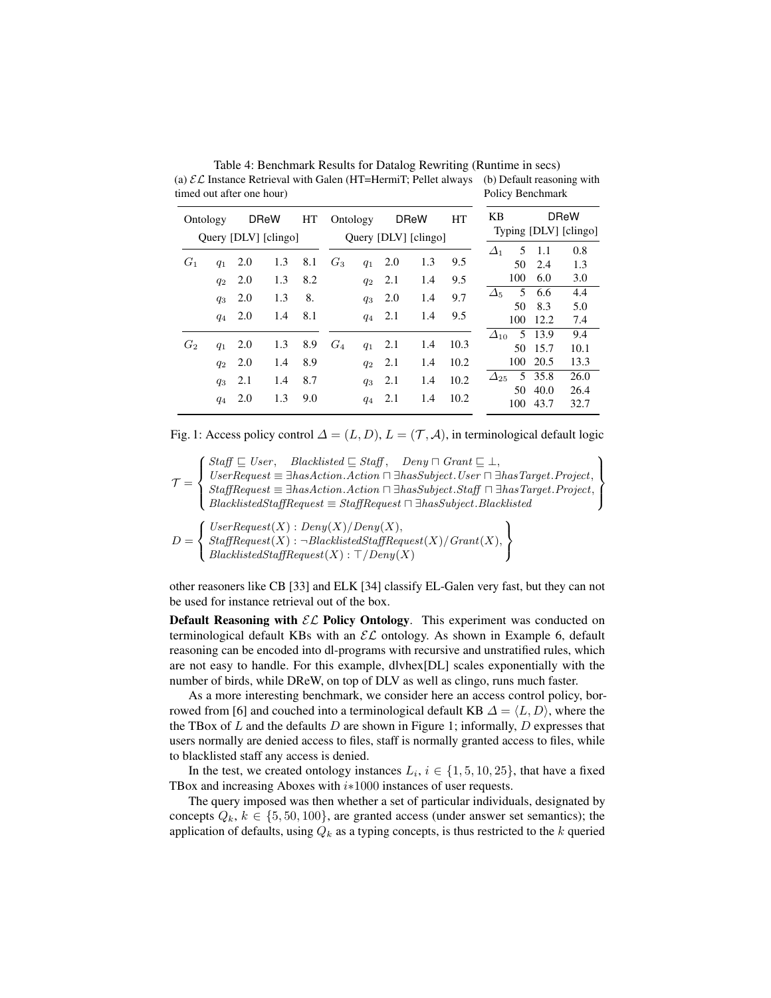| Ontology |       |     | <b>DReW</b><br>Query [DLV] [clingo] | HT  | HT<br><b>DReW</b><br>Ontology<br>Query [DLV] [clingo] |       |     |                 | KB   |                 | <b>DReW</b><br>Typing [DLV] [clingo] |      |
|----------|-------|-----|-------------------------------------|-----|-------------------------------------------------------|-------|-----|-----------------|------|-----------------|--------------------------------------|------|
|          |       |     |                                     |     |                                                       |       |     | 5<br>$\Delta_1$ | -1.1 | 0.8             |                                      |      |
| $G_1$    | $q_1$ | 2.0 | 1.3                                 | 8.1 | $G_3$                                                 | $q_1$ | 2.0 | 1.3             | 9.5  | 50              | 2.4                                  | 1.3  |
|          | $q_2$ | 2.0 | 1.3                                 | 8.2 |                                                       | $q_2$ | 2.1 | 1.4             | 9.5  | 100             | 6.0                                  | 3.0  |
|          | $q_3$ | 2.0 | 1.3                                 | 8.  |                                                       | $q_3$ | 2.0 | 1.4             | 9.7  | 5<br>$\Delta_5$ | 6.6                                  | 4.4  |
|          |       |     |                                     |     |                                                       |       |     |                 |      | 50              | 8.3                                  | 5.0  |
|          | $q_4$ | 2.0 | 1.4                                 | 8.1 |                                                       | $q_4$ | 2.1 | 1.4             | 9.5  | 100             | 12.2                                 | 7.4  |
|          |       |     |                                     |     |                                                       |       |     |                 |      | $\Delta_{10}$   | 5 13.9                               | 9.4  |
| $G_2$    | $q_1$ | 2.0 | 1.3                                 | 8.9 | $G_4$                                                 | $q_1$ | 2.1 | 1.4             | 10.3 | 50              | 15.7                                 | 10.1 |
|          | $q_2$ | 2.0 | 1.4                                 | 8.9 |                                                       | $q_2$ | 2.1 | 1.4             | 10.2 | 100             | 20.5                                 | 13.3 |
|          | $q_3$ | 2.1 | 1.4                                 | 8.7 |                                                       | $q_3$ | 2.1 | 1.4             | 10.2 | $\Delta_{25}$   | 5 35.8                               | 26.0 |
|          |       |     |                                     |     |                                                       |       |     |                 |      | 50              | 40.0                                 | 26.4 |
|          | $q_4$ | 2.0 | 1.3                                 | 9.0 |                                                       | $q_4$ | 2.1 | 1.4             | 10.2 | 100             | 43.7                                 | 32.7 |

Table 4: Benchmark Results for Datalog Rewriting (Runtime in secs) (a)  $\mathcal{EL}$  Instance Retrieval with Galen (HT=HermiT; Pellet always (b) Default reasoning with timed out after one hour) Policy Benchmark

Fig. 1: Access policy control  $\Delta = (L, D)$ ,  $L = (\mathcal{T}, \mathcal{A})$ , in terminological default logic

 $\mathcal{T} =$  $\sqrt{ }$  $\int$  $\overline{a}$  $Staff \sqsubseteq User$ , Blacklisted  $\sqsubseteq Staff$ , Deny  $\sqcap Grant \sqsubseteq \bot$ ,  $UserRequest \equiv \exists hasAction.Action \sqcap \exists hasSubject. User \sqcap \exists hasTarget.Project,$  $StaffRequest \equiv \exists hasAction.Action \sqcap \exists hasSubject.Staff \sqcap \exists hasTarget.Project,$  $Blacklisted StaffRequest \equiv StaffRequest \sqcap \exists hasSubject. Blacklisted$  $\mathcal{L}$  $\mathcal{L}$  $\int$ 

$$
D = \left\{\n\begin{array}{l}\n\text{UserRequest}(X) : \text{Deny}(X) / \text{Deny}(X), \\
\text{StaffRequest}(X) : \neg \text{BlacklistedStaffRequest}(X) / \text{Grant}(X), \\
\text{BlacklistedStaffRequest}(X) : \top / \text{Deny}(X)\n\end{array}\n\right\}
$$

other reasoners like CB [33] and ELK [34] classify EL-Galen very fast, but they can not be used for instance retrieval out of the box.

Default Reasoning with  $\mathcal{EL}$  Policy Ontology. This experiment was conducted on terminological default KBs with an  $\mathcal{EL}$  ontology. As shown in Example 6, default reasoning can be encoded into dl-programs with recursive and unstratified rules, which are not easy to handle. For this example, dlvhex[DL] scales exponentially with the number of birds, while DReW, on top of DLV as well as clingo, runs much faster.

As a more interesting benchmark, we consider here an access control policy, borrowed from [6] and couched into a terminological default KB  $\Delta = \langle L, D \rangle$ , where the the TBox of  $L$  and the defaults  $D$  are shown in Figure 1; informally,  $D$  expresses that users normally are denied access to files, staff is normally granted access to files, while to blacklisted staff any access is denied.

In the test, we created ontology instances  $L_i$ ,  $i \in \{1, 5, 10, 25\}$ , that have a fixed TBox and increasing Aboxes with *i*∗1000 instances of user requests.

The query imposed was then whether a set of particular individuals, designated by concepts  $Q_k, k \in \{5, 50, 100\}$ , are granted access (under answer set semantics); the application of defaults, using  $Q_k$  as a typing concepts, is thus restricted to the  $k$  queried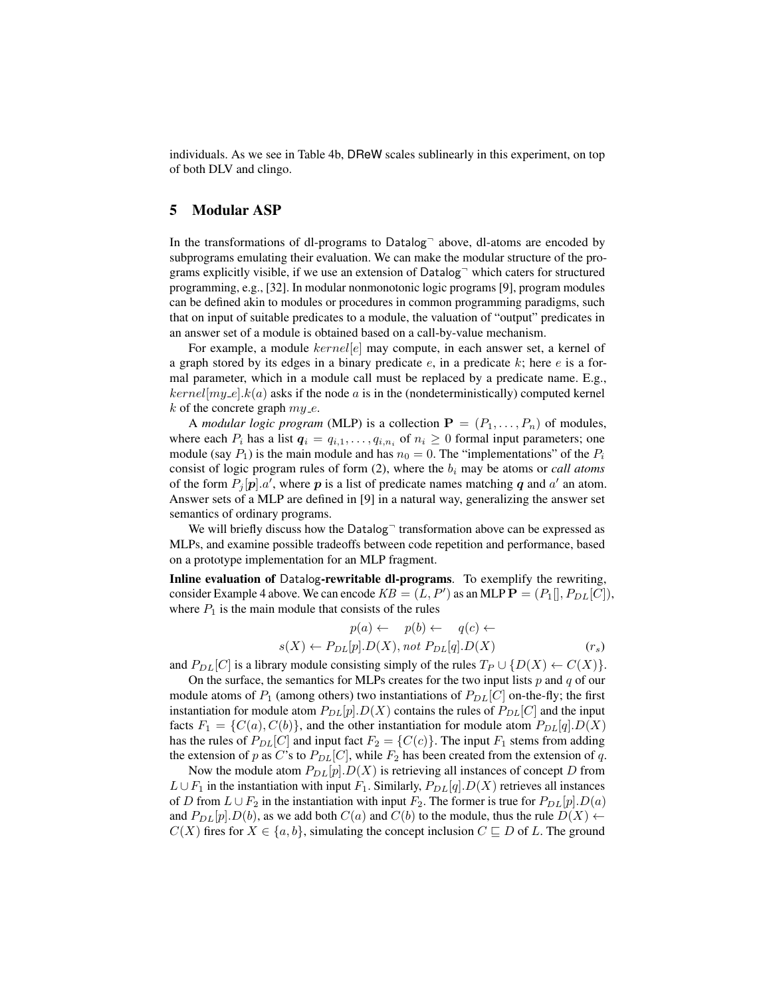individuals. As we see in Table 4b, DReW scales sublinearly in this experiment, on top of both DLV and clingo.

### 5 Modular ASP

In the transformations of dl-programs to  $Datalog$ <sup> $-$ </sup> above, dl-atoms are encoded by subprograms emulating their evaluation. We can make the modular structure of the programs explicitly visible, if we use an extension of  $Datalog<sup>-</sup>$  which caters for structured programming, e.g., [32]. In modular nonmonotonic logic programs [9], program modules can be defined akin to modules or procedures in common programming paradigms, such that on input of suitable predicates to a module, the valuation of "output" predicates in an answer set of a module is obtained based on a call-by-value mechanism.

For example, a module  $kernel[e]$  may compute, in each answer set, a kernel of a graph stored by its edges in a binary predicate  $e$ , in a predicate  $k$ ; here  $e$  is a formal parameter, which in a module call must be replaced by a predicate name. E.g.,  $kernel[my_e], k(a)$  asks if the node a is in the (nondeterministically) computed kernel k of the concrete graph  $my_e$ .

A *modular logic program* (MLP) is a collection  $P = (P_1, \ldots, P_n)$  of modules, where each  $P_i$  has a list  $q_i = q_{i,1}, \ldots, q_{i,n_i}$  of  $n_i \geq 0$  formal input parameters; one module (say  $P_1$ ) is the main module and has  $n_0 = 0$ . The "implementations" of the  $P_i$ consist of logic program rules of form  $(2)$ , where the  $b_i$  may be atoms or *call atoms* of the form  $P_j[p].a'$ , where p is a list of predicate names matching q and a' an atom. Answer sets of a MLP are defined in [9] in a natural way, generalizing the answer set semantics of ordinary programs.

We will briefly discuss how the  $Datalog<sup>-</sup>$  transformation above can be expressed as MLPs, and examine possible tradeoffs between code repetition and performance, based on a prototype implementation for an MLP fragment.

Inline evaluation of Datalog-rewritable dl-programs. To exemplify the rewriting, consider Example 4 above. We can encode  $KB = (L, P')$  as an MLP  $\mathbf{P} = (P_1[], P_{DL}[C]),$ where  $P_1$  is the main module that consists of the rules

$$
p(a) \leftarrow p(b) \leftarrow q(c) \leftarrow
$$
  

$$
s(X) \leftarrow P_{DL}[p].D(X), not P_{DL}[q].D(X) \qquad (r_s)
$$

and  $P_{DL}[C]$  is a library module consisting simply of the rules  $T_P \cup \{D(X) \leftarrow C(X)\}.$ 

On the surface, the semantics for MLPs creates for the two input lists  $p$  and  $q$  of our module atoms of  $P_1$  (among others) two instantiations of  $P_{DL}[C]$  on-the-fly; the first instantiation for module atom  $P_{DL}[p]$ .  $D(X)$  contains the rules of  $P_{DL}[C]$  and the input facts  $F_1 = \{C(a), C(b)\}\$ , and the other instantiation for module atom  $P_{DL}[q]$ .  $D(X)$ has the rules of  $P_{DL}[C]$  and input fact  $F_2 = \{C(c)\}\$ . The input  $F_1$  stems from adding the extension of p as C's to  $P_{DL}[C]$ , while  $F_2$  has been created from the extension of q.

Now the module atom  $P_{DL}[p]$ .  $D(X)$  is retrieving all instances of concept D from  $L \cup F_1$  in the instantiation with input  $F_1$ . Similarly,  $P_{DL}[q]$ .  $D(X)$  retrieves all instances of D from  $L \cup F_2$  in the instantiation with input  $F_2$ . The former is true for  $P_{DL}[p].D(a)$ and  $P_{DL}[p] \cdot D(b)$ , as we add both  $C(a)$  and  $C(b)$  to the module, thus the rule  $D(X)$   $\leftarrow$  $C(X)$  fires for  $X \in \{a, b\}$ , simulating the concept inclusion  $C \sqsubseteq D$  of L. The ground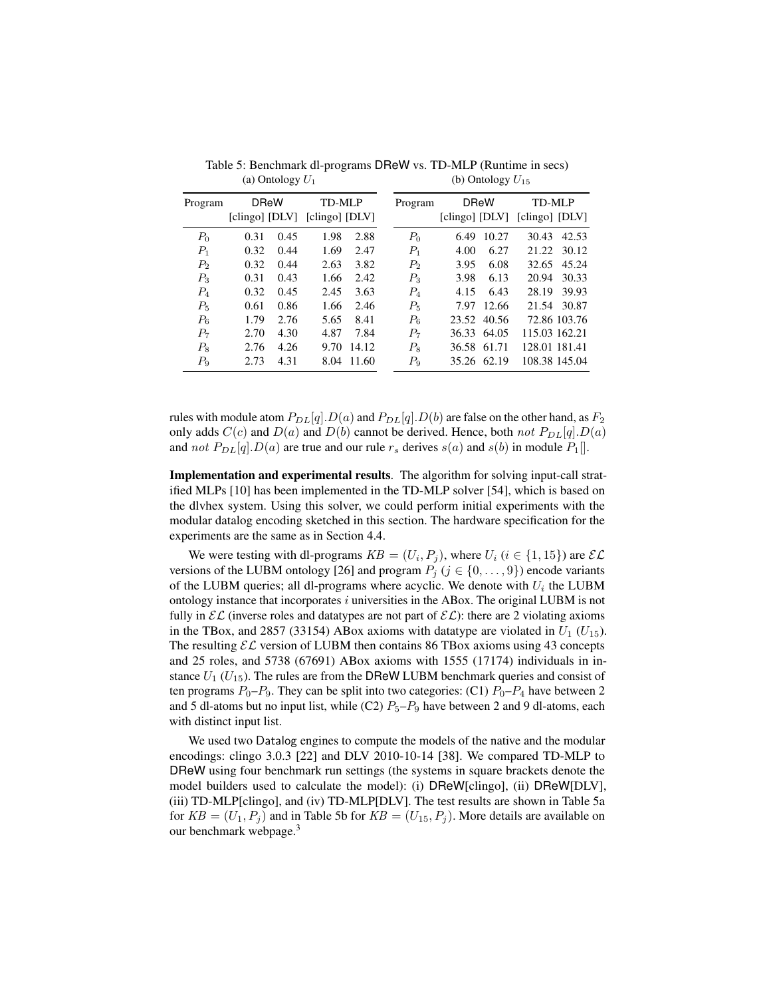| Program        | <b>DReW</b>    |      | TD-MLP         |       | Program     | <b>DReW</b>    |       | TD-MLP         |               |
|----------------|----------------|------|----------------|-------|-------------|----------------|-------|----------------|---------------|
|                | [clingo] [DLV] |      | [clingo] [DLV] |       |             | [clingo] [DLV] |       | [clingo] [DLV] |               |
| $P_0$          | 0.31           | 0.45 | 1.98           | 2.88  | $P_0$       | 6.49           | 10.27 | 30.43          | 42.53         |
| $P_1$          | 0.32           | 0.44 | 1.69           | 2.47  | $P_{1}$     | 4.00           | 6.27  | 21.22          | 30.12         |
| P <sub>2</sub> | 0.32           | 0.44 | 2.63           | 3.82  | $P_2$       | 3.95           | 6.08  | 32.65          | 45.24         |
| $P_3$          | 0.31           | 0.43 | 1.66           | 2.42  | $P_3$       | 3.98           | 6.13  | 20.94          | 30.33         |
| $P_4$          | 0.32           | 0.45 | 2.45           | 3.63  | $P_4$       | 4.15           | 6.43  | 28.19          | 39.93         |
| $P_5$          | 0.61           | 0.86 | 1.66           | 2.46  | $P_{\rm 5}$ | 7.97           | 12.66 | 21.54          | 30.87         |
| $P_6$          | 1.79           | 2.76 | 5.65           | 8.41  | $P_6$       | 23.52          | 40.56 |                | 72.86 103.76  |
| $P_7$          | 2.70           | 4.30 | 4.87           | 7.84  | $P_7$       | 36.33          | 64.05 |                | 115.03 162.21 |
| $P_8$          | 2.76           | 4.26 | 9.70           | 14.12 | $P_8$       | 36.58          | 61.71 | 128.01 181.41  |               |
| $P_9$          | 2.73           | 4.31 | 8.04           | 11.60 | $P_9$       | 35.26          | 62.19 |                | 108.38 145.04 |
|                |                |      |                |       |             |                |       |                |               |

Table 5: Benchmark dl-programs DReW vs. TD-MLP (Runtime in secs) (a) Ontology  $U_1$ (b) Ontology  $U_{15}$ 

rules with module atom  $P_{DL}[q]$ .  $D(a)$  and  $P_{DL}[q]$ .  $D(b)$  are false on the other hand, as  $F_2$ only adds  $C(c)$  and  $D(a)$  and  $D(b)$  cannot be derived. Hence, both not  $P_{DL}[q]$ .  $D(a)$ and not  $P_{DL}[q]$ .  $D(a)$  are true and our rule  $r_s$  derives  $s(a)$  and  $s(b)$  in module  $P_1$ .

Implementation and experimental results. The algorithm for solving input-call stratified MLPs [10] has been implemented in the TD-MLP solver [54], which is based on the dlvhex system. Using this solver, we could perform initial experiments with the modular datalog encoding sketched in this section. The hardware specification for the experiments are the same as in Section 4.4.

We were testing with dl-programs  $KB = (U_i, P_j)$ , where  $U_i$  ( $i \in \{1, 15\}$ ) are  $\mathcal{EL}$ versions of the LUBM ontology [26] and program  $P_j$  ( $j \in \{0, \ldots, 9\}$ ) encode variants of the LUBM queries; all dl-programs where acyclic. We denote with  $U_i$  the LUBM ontology instance that incorporates  $i$  universities in the ABox. The original LUBM is not fully in  $\mathcal{EL}$  (inverse roles and datatypes are not part of  $\mathcal{EL}$ ): there are 2 violating axioms in the TBox, and 2857 (33154) ABox axioms with datatype are violated in  $U_1$  ( $U_{15}$ ). The resulting  $\mathcal{EL}$  version of LUBM then contains 86 TBox axioms using 43 concepts and 25 roles, and 5738 (67691) ABox axioms with 1555 (17174) individuals in instance  $U_1$  ( $U_{15}$ ). The rules are from the DReW LUBM benchmark queries and consist of ten programs  $P_0-P_9$ . They can be split into two categories: (C1)  $P_0-P_4$  have between 2 and 5 dl-atoms but no input list, while (C2)  $P_5-P_9$  have between 2 and 9 dl-atoms, each with distinct input list.

We used two Datalog engines to compute the models of the native and the modular encodings: clingo 3.0.3 [22] and DLV 2010-10-14 [38]. We compared TD-MLP to DReW using four benchmark run settings (the systems in square brackets denote the model builders used to calculate the model): (i) DReW[clingo], (ii) DReW[DLV], (iii) TD-MLP[clingo], and (iv) TD-MLP[DLV]. The test results are shown in Table 5a for  $KB = (U_1, P_j)$  and in Table 5b for  $KB = (U_{15}, P_j)$ . More details are available on our benchmark webpage.<sup>3</sup>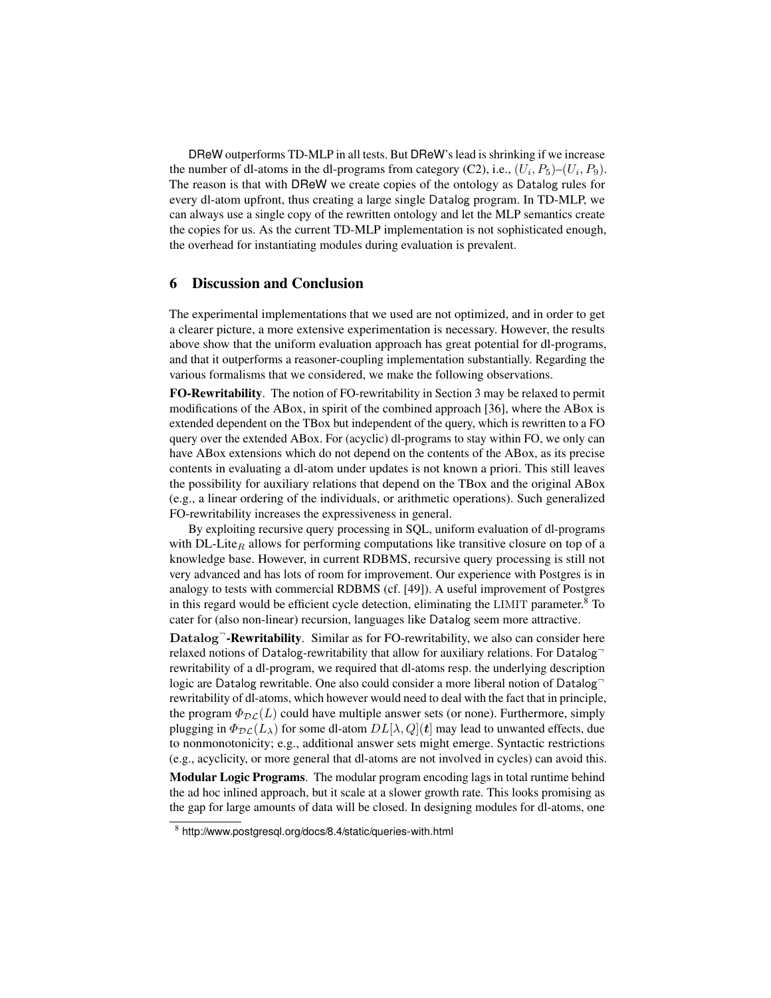DReW outperforms TD-MLP in all tests. But DReW's lead is shrinking if we increase the number of dl-atoms in the dl-programs from category (C2), i.e.,  $(U_i, P_5)$ – $(U_i, P_9)$ . The reason is that with DReW we create copies of the ontology as Datalog rules for every dl-atom upfront, thus creating a large single Datalog program. In TD-MLP, we can always use a single copy of the rewritten ontology and let the MLP semantics create the copies for us. As the current TD-MLP implementation is not sophisticated enough, the overhead for instantiating modules during evaluation is prevalent.

### 6 Discussion and Conclusion

The experimental implementations that we used are not optimized, and in order to get a clearer picture, a more extensive experimentation is necessary. However, the results above show that the uniform evaluation approach has great potential for dl-programs, and that it outperforms a reasoner-coupling implementation substantially. Regarding the various formalisms that we considered, we make the following observations.

FO-Rewritability. The notion of FO-rewritability in Section 3 may be relaxed to permit modifications of the ABox, in spirit of the combined approach [36], where the ABox is extended dependent on the TBox but independent of the query, which is rewritten to a FO query over the extended ABox. For (acyclic) dl-programs to stay within FO, we only can have ABox extensions which do not depend on the contents of the ABox, as its precise contents in evaluating a dl-atom under updates is not known a priori. This still leaves the possibility for auxiliary relations that depend on the TBox and the original ABox (e.g., a linear ordering of the individuals, or arithmetic operations). Such generalized FO-rewritability increases the expressiveness in general.

By exploiting recursive query processing in SQL, uniform evaluation of dl-programs with DL-Lite<sub>R</sub> allows for performing computations like transitive closure on top of a knowledge base. However, in current RDBMS, recursive query processing is still not very advanced and has lots of room for improvement. Our experience with Postgres is in analogy to tests with commercial RDBMS (cf. [49]). A useful improvement of Postgres in this regard would be efficient cycle detection, eliminating the LIMIT parameter.<sup>8</sup> To cater for (also non-linear) recursion, languages like Datalog seem more attractive.

Datalog<sup>-</sup>-Rewritability. Similar as for FO-rewritability, we also can consider here relaxed notions of Datalog-rewritability that allow for auxiliary relations. For Datalog rewritability of a dl-program, we required that dl-atoms resp. the underlying description logic are Datalog rewritable. One also could consider a more liberal notion of Datalog rewritability of dl-atoms, which however would need to deal with the fact that in principle, the program  $\Phi_{\mathcal{DL}}(L)$  could have multiple answer sets (or none). Furthermore, simply plugging in  $\Phi_{\mathcal{DL}}(L_{\lambda})$  for some dl-atom  $DL[\lambda, Q](t)$  may lead to unwanted effects, due to nonmonotonicity; e.g., additional answer sets might emerge. Syntactic restrictions (e.g., acyclicity, or more general that dl-atoms are not involved in cycles) can avoid this.

Modular Logic Programs. The modular program encoding lags in total runtime behind the ad hoc inlined approach, but it scale at a slower growth rate. This looks promising as the gap for large amounts of data will be closed. In designing modules for dl-atoms, one

<sup>8</sup> http://www.postgresql.org/docs/8.4/static/queries-with.html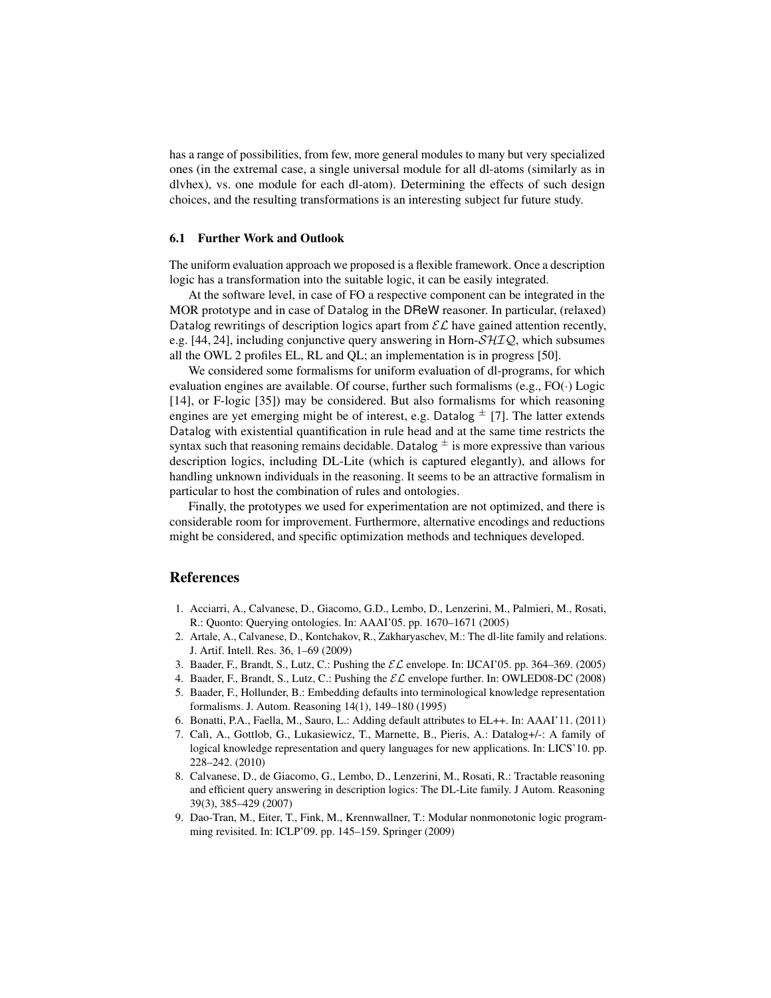has a range of possibilities, from few, more general modules to many but very specialized ones (in the extremal case, a single universal module for all dl-atoms (similarly as in dlvhex), vs. one module for each dl-atom). Determining the effects of such design choices, and the resulting transformations is an interesting subject fur future study.

#### 6.1 Further Work and Outlook

The uniform evaluation approach we proposed is a flexible framework. Once a description logic has a transformation into the suitable logic, it can be easily integrated.

At the software level, in case of FO a respective component can be integrated in the MOR prototype and in case of Datalog in the DReW reasoner. In particular, (relaxed) Datalog rewritings of description logics apart from  $\mathcal{EL}$  have gained attention recently, e.g. [44, 24], including conjunctive query answering in Horn- $\mathcal{SHIQ}$ , which subsumes all the OWL 2 profiles EL, RL and QL; an implementation is in progress [50].

We considered some formalisms for uniform evaluation of dl-programs, for which evaluation engines are available. Of course, further such formalisms (e.g.,  $FO(\cdot)$  Logic [14], or F-logic [35]) may be considered. But also formalisms for which reasoning engines are yet emerging might be of interest, e.g. Datalog  $\pm$  [7]. The latter extends Datalog with existential quantification in rule head and at the same time restricts the syntax such that reasoning remains decidable. Datalog  $\pm$  is more expressive than various description logics, including DL-Lite (which is captured elegantly), and allows for handling unknown individuals in the reasoning. It seems to be an attractive formalism in particular to host the combination of rules and ontologies.

Finally, the prototypes we used for experimentation are not optimized, and there is considerable room for improvement. Furthermore, alternative encodings and reductions might be considered, and specific optimization methods and techniques developed.

### References

- 1. Acciarri, A., Calvanese, D., Giacomo, G.D., Lembo, D., Lenzerini, M., Palmieri, M., Rosati, R.: Quonto: Querying ontologies. In: AAAI'05. pp. 1670–1671 (2005)
- 2. Artale, A., Calvanese, D., Kontchakov, R., Zakharyaschev, M.: The dl-lite family and relations. J. Artif. Intell. Res. 36, 1–69 (2009)
- 3. Baader, F., Brandt, S., Lutz, C.: Pushing the  $\mathcal{EL}$  envelope. In: IJCAI'05. pp. 364–369. (2005)
- 4. Baader, F., Brandt, S., Lutz, C.: Pushing the  $\mathcal{EL}$  envelope further. In: OWLED08-DC (2008)
- 5. Baader, F., Hollunder, B.: Embedding defaults into terminological knowledge representation formalisms. J. Autom. Reasoning 14(1), 149–180 (1995)
- 6. Bonatti, P.A., Faella, M., Sauro, L.: Adding default attributes to EL++. In: AAAI'11. (2011)
- 7. Calì, A., Gottlob, G., Lukasiewicz, T., Marnette, B., Pieris, A.: Datalog+/-: A family of logical knowledge representation and query languages for new applications. In: LICS'10. pp. 228–242. (2010)
- 8. Calvanese, D., de Giacomo, G., Lembo, D., Lenzerini, M., Rosati, R.: Tractable reasoning and efficient query answering in description logics: The DL-Lite family. J Autom. Reasoning 39(3), 385–429 (2007)
- 9. Dao-Tran, M., Eiter, T., Fink, M., Krennwallner, T.: Modular nonmonotonic logic programming revisited. In: ICLP'09. pp. 145–159. Springer (2009)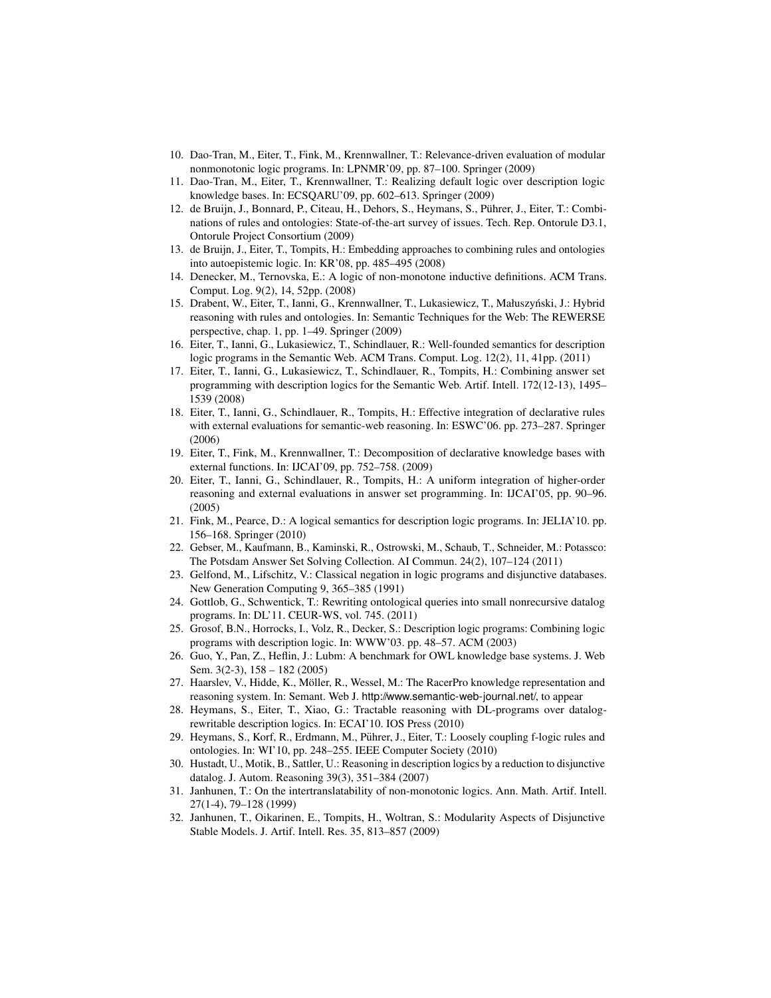- 10. Dao-Tran, M., Eiter, T., Fink, M., Krennwallner, T.: Relevance-driven evaluation of modular nonmonotonic logic programs. In: LPNMR'09, pp. 87–100. Springer (2009)
- 11. Dao-Tran, M., Eiter, T., Krennwallner, T.: Realizing default logic over description logic knowledge bases. In: ECSQARU'09, pp. 602–613. Springer (2009)
- 12. de Bruijn, J., Bonnard, P., Citeau, H., Dehors, S., Heymans, S., Puhrer, J., Eiter, T.: Combi- ¨ nations of rules and ontologies: State-of-the-art survey of issues. Tech. Rep. Ontorule D3.1, Ontorule Project Consortium (2009)
- 13. de Bruijn, J., Eiter, T., Tompits, H.: Embedding approaches to combining rules and ontologies into autoepistemic logic. In: KR'08, pp. 485–495 (2008)
- 14. Denecker, M., Ternovska, E.: A logic of non-monotone inductive definitions. ACM Trans. Comput. Log. 9(2), 14, 52pp. (2008)
- 15. Drabent, W., Eiter, T., Ianni, G., Krennwallner, T., Lukasiewicz, T., Małuszyński, J.: Hybrid reasoning with rules and ontologies. In: Semantic Techniques for the Web: The REWERSE perspective, chap. 1, pp. 1–49. Springer (2009)
- 16. Eiter, T., Ianni, G., Lukasiewicz, T., Schindlauer, R.: Well-founded semantics for description logic programs in the Semantic Web. ACM Trans. Comput. Log. 12(2), 11, 41pp. (2011)
- 17. Eiter, T., Ianni, G., Lukasiewicz, T., Schindlauer, R., Tompits, H.: Combining answer set programming with description logics for the Semantic Web. Artif. Intell. 172(12-13), 1495– 1539 (2008)
- 18. Eiter, T., Ianni, G., Schindlauer, R., Tompits, H.: Effective integration of declarative rules with external evaluations for semantic-web reasoning. In: ESWC'06. pp. 273–287. Springer (2006)
- 19. Eiter, T., Fink, M., Krennwallner, T.: Decomposition of declarative knowledge bases with external functions. In: IJCAI'09, pp. 752–758. (2009)
- 20. Eiter, T., Ianni, G., Schindlauer, R., Tompits, H.: A uniform integration of higher-order reasoning and external evaluations in answer set programming. In: IJCAI'05, pp. 90–96. (2005)
- 21. Fink, M., Pearce, D.: A logical semantics for description logic programs. In: JELIA'10. pp. 156–168. Springer (2010)
- 22. Gebser, M., Kaufmann, B., Kaminski, R., Ostrowski, M., Schaub, T., Schneider, M.: Potassco: The Potsdam Answer Set Solving Collection. AI Commun. 24(2), 107–124 (2011)
- 23. Gelfond, M., Lifschitz, V.: Classical negation in logic programs and disjunctive databases. New Generation Computing 9, 365–385 (1991)
- 24. Gottlob, G., Schwentick, T.: Rewriting ontological queries into small nonrecursive datalog programs. In: DL'11. CEUR-WS, vol. 745. (2011)
- 25. Grosof, B.N., Horrocks, I., Volz, R., Decker, S.: Description logic programs: Combining logic programs with description logic. In: WWW'03. pp. 48–57. ACM (2003)
- 26. Guo, Y., Pan, Z., Heflin, J.: Lubm: A benchmark for OWL knowledge base systems. J. Web Sem. 3(2-3), 158 – 182 (2005)
- 27. Haarslev, V., Hidde, K., Möller, R., Wessel, M.: The RacerPro knowledge representation and reasoning system. In: Semant. Web J. http://www.semantic-web-journal.net/, to appear
- 28. Heymans, S., Eiter, T., Xiao, G.: Tractable reasoning with DL-programs over datalogrewritable description logics. In: ECAI'10. IOS Press (2010)
- 29. Heymans, S., Korf, R., Erdmann, M., Puhrer, J., Eiter, T.: Loosely coupling f-logic rules and ¨ ontologies. In: WI'10, pp. 248–255. IEEE Computer Society (2010)
- 30. Hustadt, U., Motik, B., Sattler, U.: Reasoning in description logics by a reduction to disjunctive datalog. J. Autom. Reasoning 39(3), 351–384 (2007)
- 31. Janhunen, T.: On the intertranslatability of non-monotonic logics. Ann. Math. Artif. Intell. 27(1-4), 79–128 (1999)
- 32. Janhunen, T., Oikarinen, E., Tompits, H., Woltran, S.: Modularity Aspects of Disjunctive Stable Models. J. Artif. Intell. Res. 35, 813–857 (2009)